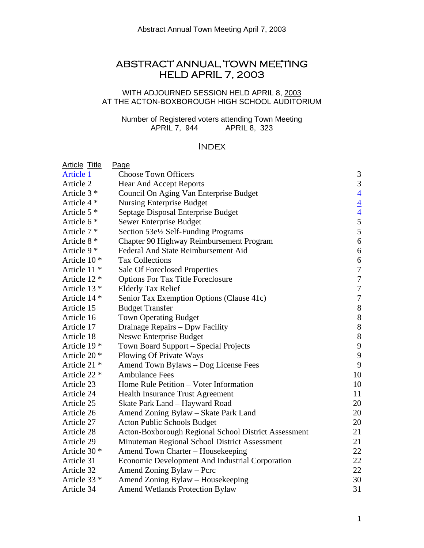# ABSTRACT ANNUAL TOWN MEETING HELD APRIL 7, 2003

## WITH ADJOURNED SESSION HELD APRIL 8, 2003 AT THE ACTON-BOXBOROUGH HIGH SCHOOL AUDITORIUM

Number of Registered voters attending Town Meeting APRIL 7, 944 APRIL 8, 323

## **INDEX**

| <b>Article Title</b>    | <u>Page</u>                                          |                                          |
|-------------------------|------------------------------------------------------|------------------------------------------|
| <b>Article 1</b>        | <b>Choose Town Officers</b>                          | 3                                        |
| Article 2               | <b>Hear And Accept Reports</b>                       | $\mathfrak{Z}$                           |
| Article $3*$            | Council On Aging Van Enterprise Budget               |                                          |
| Article 4 *             | <b>Nursing Enterprise Budget</b>                     | $\frac{4}{4}$<br>$\frac{4}{5}$<br>5<br>5 |
| Article 5 <sup>*</sup>  | Septage Disposal Enterprise Budget                   |                                          |
| Article $6*$            | Sewer Enterprise Budget                              |                                          |
| Article 7 *             | Section 53el/2 Self-Funding Programs                 |                                          |
| Article 8 *             | Chapter 90 Highway Reimbursement Program             | $\sqrt{6}$                               |
| Article 9 *             | Federal And State Reimbursement Aid                  | $\sqrt{6}$                               |
| Article 10 <sup>*</sup> | <b>Tax Collections</b>                               | $\sqrt{6}$                               |
| Article 11 <sup>*</sup> | Sale Of Foreclosed Properties                        | $\boldsymbol{7}$                         |
| Article 12 *            | <b>Options For Tax Title Foreclosure</b>             | $\boldsymbol{7}$                         |
| Article 13 <sup>*</sup> | <b>Elderly Tax Relief</b>                            | $\overline{7}$                           |
| Article 14 <sup>*</sup> | Senior Tax Exemption Options (Clause 41c)            | $\overline{7}$                           |
| Article 15              | <b>Budget Transfer</b>                               | $8\,$                                    |
| Article 16              | <b>Town Operating Budget</b>                         | $8\,$                                    |
| Article 17              | Drainage Repairs - Dpw Facility                      | $8\,$                                    |
| Article 18              | <b>Neswc Enterprise Budget</b>                       | $8\,$                                    |
| Article 19 <sup>*</sup> | Town Board Support - Special Projects                | $\mathbf{9}$                             |
| Article 20 <sup>*</sup> | Plowing Of Private Ways                              | $\mathbf{9}$                             |
| Article 21 <sup>*</sup> | Amend Town Bylaws - Dog License Fees                 | 9                                        |
| Article 22 *            | <b>Ambulance Fees</b>                                | 10                                       |
| Article 23              | Home Rule Petition – Voter Information               | 10                                       |
| Article 24              | <b>Health Insurance Trust Agreement</b>              | 11                                       |
| Article 25              | Skate Park Land - Hayward Road                       | 20                                       |
| Article 26              | Amend Zoning Bylaw - Skate Park Land                 | 20                                       |
| Article 27              | <b>Acton Public Schools Budget</b>                   | 20                                       |
| Article 28              | Acton-Boxborough Regional School District Assessment | 21                                       |
| Article 29              | Minuteman Regional School District Assessment        | 21                                       |
| Article 30 <sup>*</sup> | Amend Town Charter – Housekeeping                    | 22                                       |
| Article 31              | Economic Development And Industrial Corporation      | 22                                       |
| Article 32              | Amend Zoning Bylaw - Pcrc                            | 22                                       |
| Article 33 *            | Amend Zoning Bylaw - Housekeeping                    | 30                                       |
| Article 34              | <b>Amend Wetlands Protection Bylaw</b>               | 31                                       |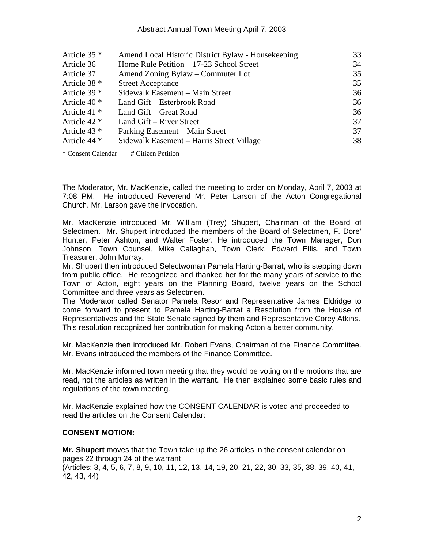#### Abstract Annual Town Meeting April 7, 2003

| Article $35$ *          | Amend Local Historic District Bylaw - Housekeeping | 33 |
|-------------------------|----------------------------------------------------|----|
| Article 36              | Home Rule Petition $-17-23$ School Street          | 34 |
| Article 37              | Amend Zoning Bylaw – Commuter Lot                  | 35 |
| Article $38*$           | <b>Street Acceptance</b>                           | 35 |
| Article $39$ $*$        | Sidewalk Easement - Main Street                    | 36 |
| Article $40*$           | Land Gift – Esterbrook Road                        | 36 |
| Article 41 $*$          | Land Gift – Great Road                             | 36 |
| Article $42$ *          | Land Gift – River Street                           | 37 |
| Article 43 $*$          | Parking Easement – Main Street                     | 37 |
| Article 44 <sup>*</sup> | Sidewalk Easement – Harris Street Village          | 38 |
|                         |                                                    |    |

\* Consent Calendar # Citizen Petition

The Moderator, Mr. MacKenzie, called the meeting to order on Monday, April 7, 2003 at 7:08 PM. He introduced Reverend Mr. Peter Larson of the Acton Congregational Church. Mr. Larson gave the invocation.

Mr. MacKenzie introduced Mr. William (Trey) Shupert, Chairman of the Board of Selectmen. Mr. Shupert introduced the members of the Board of Selectmen, F. Dore' Hunter, Peter Ashton, and Walter Foster. He introduced the Town Manager, Don Johnson, Town Counsel, Mike Callaghan, Town Clerk, Edward Ellis, and Town Treasurer, John Murray.

Mr. Shupert then introduced Selectwoman Pamela Harting-Barrat, who is stepping down from public office. He recognized and thanked her for the many years of service to the Town of Acton, eight years on the Planning Board, twelve years on the School Committee and three years as Selectmen.

The Moderator called Senator Pamela Resor and Representative James Eldridge to come forward to present to Pamela Harting-Barrat a Resolution from the House of Representatives and the State Senate signed by them and Representative Corey Atkins. This resolution recognized her contribution for making Acton a better community.

Mr. MacKenzie then introduced Mr. Robert Evans, Chairman of the Finance Committee. Mr. Evans introduced the members of the Finance Committee.

Mr. MacKenzie informed town meeting that they would be voting on the motions that are read, not the articles as written in the warrant. He then explained some basic rules and regulations of the town meeting.

Mr. MacKenzie explained how the CONSENT CALENDAR is voted and proceeded to read the articles on the Consent Calendar:

#### **CONSENT MOTION:**

**Mr. Shupert** moves that the Town take up the 26 articles in the consent calendar on pages 22 through 24 of the warrant

(Articles; 3, 4, 5, 6, 7, 8, 9, 10, 11, 12, 13, 14, 19, 20, 21, 22, 30, 33, 35, 38, 39, 40, 41, 42, 43, 44)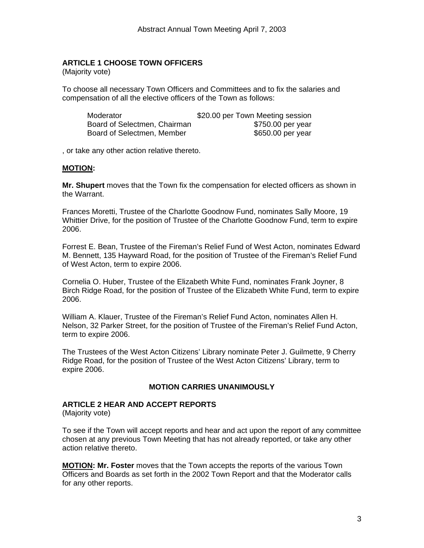## <span id="page-2-0"></span>**ARTICLE 1 CHOOSE TOWN OFFICERS**

(Majority vote)

To choose all necessary Town Officers and Committees and to fix the salaries and compensation of all the elective officers of the Town as follows:

| Moderator                    | \$20.00 per Town Meeting session |
|------------------------------|----------------------------------|
| Board of Selectmen, Chairman | \$750.00 per year                |
| Board of Selectmen, Member   | \$650.00 per year                |

, or take any other action relative thereto.

#### **MOTION:**

**Mr. Shupert** moves that the Town fix the compensation for elected officers as shown in the Warrant.

Frances Moretti, Trustee of the Charlotte Goodnow Fund, nominates Sally Moore, 19 Whittier Drive, for the position of Trustee of the Charlotte Goodnow Fund, term to expire 2006.

Forrest E. Bean, Trustee of the Fireman's Relief Fund of West Acton, nominates Edward M. Bennett, 135 Hayward Road, for the position of Trustee of the Fireman's Relief Fund of West Acton, term to expire 2006.

Cornelia O. Huber, Trustee of the Elizabeth White Fund, nominates Frank Joyner, 8 Birch Ridge Road, for the position of Trustee of the Elizabeth White Fund, term to expire 2006.

William A. Klauer, Trustee of the Fireman's Relief Fund Acton, nominates Allen H. Nelson, 32 Parker Street, for the position of Trustee of the Fireman's Relief Fund Acton, term to expire 2006.

The Trustees of the West Acton Citizens' Library nominate Peter J. Guilmette, 9 Cherry Ridge Road, for the position of Trustee of the West Acton Citizens' Library, term to expire 2006.

#### **MOTION CARRIES UNANIMOUSLY**

#### **ARTICLE 2 HEAR AND ACCEPT REPORTS**

(Majority vote)

To see if the Town will accept reports and hear and act upon the report of any committee chosen at any previous Town Meeting that has not already reported, or take any other action relative thereto.

**MOTION: Mr. Foster** moves that the Town accepts the reports of the various Town Officers and Boards as set forth in the 2002 Town Report and that the Moderator calls for any other reports.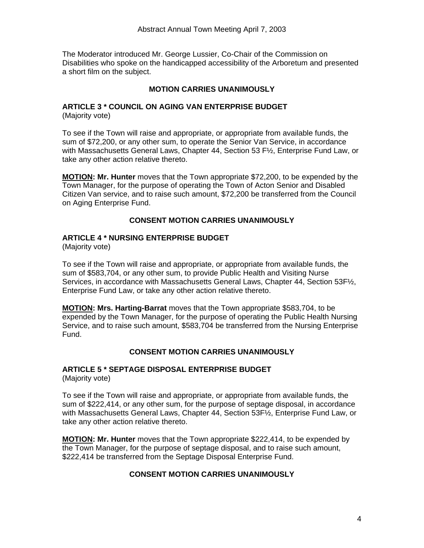The Moderator introduced Mr. George Lussier, Co-Chair of the Commission on Disabilities who spoke on the handicapped accessibility of the Arboretum and presented a short film on the subject.

#### **MOTION CARRIES UNANIMOUSLY**

#### **ARTICLE 3 \* COUNCIL ON AGING VAN ENTERPRISE BUDGET**  (Majority vote)

To see if the Town will raise and appropriate, or appropriate from available funds, the sum of \$72,200, or any other sum, to operate the Senior Van Service, in accordance with Massachusetts General Laws, Chapter 44, Section 53 F½, Enterprise Fund Law, or take any other action relative thereto.

**MOTION: Mr. Hunter** moves that the Town appropriate \$72,200, to be expended by the Town Manager, for the purpose of operating the Town of Acton Senior and Disabled Citizen Van service, and to raise such amount, \$72,200 be transferred from the Council on Aging Enterprise Fund.

#### **CONSENT MOTION CARRIES UNANIMOUSLY**

#### **ARTICLE 4 \* NURSING ENTERPRISE BUDGET**

(Majority vote)

To see if the Town will raise and appropriate, or appropriate from available funds, the sum of \$583,704, or any other sum, to provide Public Health and Visiting Nurse Services, in accordance with Massachusetts General Laws, Chapter 44, Section 53F½, Enterprise Fund Law, or take any other action relative thereto.

**MOTION: Mrs. Harting-Barrat** moves that the Town appropriate \$583,704, to be expended by the Town Manager, for the purpose of operating the Public Health Nursing Service, and to raise such amount, \$583,704 be transferred from the Nursing Enterprise Fund.

#### **CONSENT MOTION CARRIES UNANIMOUSLY**

# **ARTICLE 5 \* SEPTAGE DISPOSAL ENTERPRISE BUDGET**

(Majority vote)

To see if the Town will raise and appropriate, or appropriate from available funds, the sum of \$222,414, or any other sum, for the purpose of septage disposal, in accordance with Massachusetts General Laws, Chapter 44, Section 53F½, Enterprise Fund Law, or take any other action relative thereto.

**MOTION: Mr. Hunter** moves that the Town appropriate \$222,414, to be expended by the Town Manager, for the purpose of septage disposal, and to raise such amount, \$222,414 be transferred from the Septage Disposal Enterprise Fund.

#### **CONSENT MOTION CARRIES UNANIMOUSLY**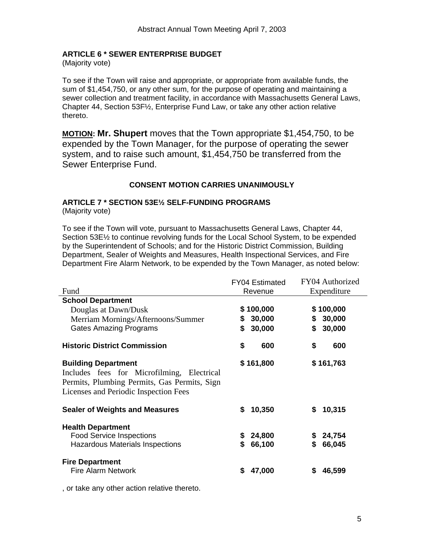## <span id="page-4-0"></span>**ARTICLE 6 \* SEWER ENTERPRISE BUDGET**

(Majority vote)

To see if the Town will raise and appropriate, or appropriate from available funds, the sum of \$1,454,750, or any other sum, for the purpose of operating and maintaining a sewer collection and treatment facility, in accordance with Massachusetts General Laws, Chapter 44, Section 53F½, Enterprise Fund Law, or take any other action relative thereto.

**MOTION: Mr. Shupert** moves that the Town appropriate \$1,454,750, to be expended by the Town Manager, for the purpose of operating the sewer system, and to raise such amount, \$1,454,750 be transferred from the Sewer Enterprise Fund.

## **CONSENT MOTION CARRIES UNANIMOUSLY**

# **ARTICLE 7 \* SECTION 53E½ SELF-FUNDING PROGRAMS**

(Majority vote)

To see if the Town will vote, pursuant to Massachusetts General Laws, Chapter 44, Section 53E½ to continue revolving funds for the Local School System, to be expended by the Superintendent of Schools; and for the Historic District Commission, Building Department, Sealer of Weights and Measures, Health Inspectional Services, and Fire Department Fire Alarm Network, to be expended by the Town Manager, as noted below:

|                                                                                                                                                                   | <b>FY04 Estimated</b>        | FY04 Authorized              |  |
|-------------------------------------------------------------------------------------------------------------------------------------------------------------------|------------------------------|------------------------------|--|
| Fund                                                                                                                                                              | Revenue                      | Expenditure                  |  |
| <b>School Department</b>                                                                                                                                          |                              |                              |  |
| Douglas at Dawn/Dusk                                                                                                                                              | \$100,000                    | \$100,000                    |  |
| Merriam Mornings/Afternoons/Summer                                                                                                                                | 30,000<br>\$                 | 30,000<br>\$                 |  |
| <b>Gates Amazing Programs</b>                                                                                                                                     | \$<br>30,000                 | 30,000<br>\$                 |  |
| <b>Historic District Commission</b>                                                                                                                               | \$<br>600                    | \$<br>600                    |  |
| <b>Building Department</b><br>Includes fees for Microfilming, Electrical<br>Permits, Plumbing Permits, Gas Permits, Sign<br>Licenses and Periodic Inspection Fees | \$161,800                    | \$161,763                    |  |
| <b>Sealer of Weights and Measures</b>                                                                                                                             | 10,350<br>\$                 | 10,315<br>\$                 |  |
| <b>Health Department</b><br><b>Food Service Inspections</b><br><b>Hazardous Materials Inspections</b>                                                             | 24,800<br>\$<br>\$<br>66,100 | 24,754<br>\$<br>66,045<br>\$ |  |
| <b>Fire Department</b><br><b>Fire Alarm Network</b>                                                                                                               | \$<br>47,000                 | 46,599<br>S                  |  |

, or take any other action relative thereto.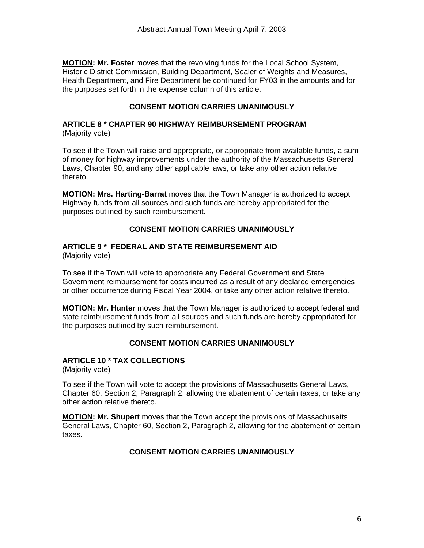<span id="page-5-0"></span>**MOTION: Mr. Foster** moves that the revolving funds for the Local School System, Historic District Commission, Building Department, Sealer of Weights and Measures, Health Department, and Fire Department be continued for FY03 in the amounts and for the purposes set forth in the expense column of this article.

## **CONSENT MOTION CARRIES UNANIMOUSLY**

#### **ARTICLE 8 \* CHAPTER 90 HIGHWAY REIMBURSEMENT PROGRAM**  (Majority vote)

To see if the Town will raise and appropriate, or appropriate from available funds, a sum of money for highway improvements under the authority of the Massachusetts General Laws, Chapter 90, and any other applicable laws, or take any other action relative thereto.

**MOTION: Mrs. Harting-Barrat** moves that the Town Manager is authorized to accept Highway funds from all sources and such funds are hereby appropriated for the purposes outlined by such reimbursement.

## **CONSENT MOTION CARRIES UNANIMOUSLY**

# **ARTICLE 9 \* FEDERAL AND STATE REIMBURSEMENT AID**

(Majority vote)

To see if the Town will vote to appropriate any Federal Government and State Government reimbursement for costs incurred as a result of any declared emergencies or other occurrence during Fiscal Year 2004, or take any other action relative thereto.

**MOTION: Mr. Hunter** moves that the Town Manager is authorized to accept federal and state reimbursement funds from all sources and such funds are hereby appropriated for the purposes outlined by such reimbursement.

## **CONSENT MOTION CARRIES UNANIMOUSLY**

## **ARTICLE 10 \* TAX COLLECTIONS**

(Majority vote)

To see if the Town will vote to accept the provisions of Massachusetts General Laws, Chapter 60, Section 2, Paragraph 2, allowing the abatement of certain taxes, or take any other action relative thereto.

**MOTION: Mr. Shupert** moves that the Town accept the provisions of Massachusetts General Laws, Chapter 60, Section 2, Paragraph 2, allowing for the abatement of certain taxes.

#### **CONSENT MOTION CARRIES UNANIMOUSLY**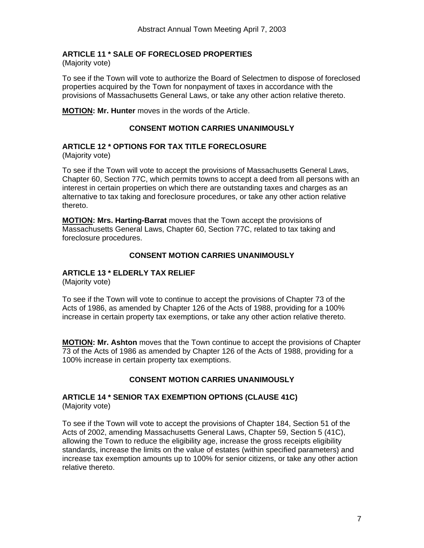## <span id="page-6-0"></span>**ARTICLE 11 \* SALE OF FORECLOSED PROPERTIES**

(Majority vote)

To see if the Town will vote to authorize the Board of Selectmen to dispose of foreclosed properties acquired by the Town for nonpayment of taxes in accordance with the provisions of Massachusetts General Laws, or take any other action relative thereto.

**MOTION: Mr. Hunter** moves in the words of the Article.

## **CONSENT MOTION CARRIES UNANIMOUSLY**

#### **ARTICLE 12 \* OPTIONS FOR TAX TITLE FORECLOSURE** (Majority vote)

To see if the Town will vote to accept the provisions of Massachusetts General Laws, Chapter 60, Section 77C, which permits towns to accept a deed from all persons with an interest in certain properties on which there are outstanding taxes and charges as an alternative to tax taking and foreclosure procedures, or take any other action relative thereto.

**MOTION: Mrs. Harting-Barrat** moves that the Town accept the provisions of Massachusetts General Laws, Chapter 60, Section 77C, related to tax taking and foreclosure procedures.

## **CONSENT MOTION CARRIES UNANIMOUSLY**

## **ARTICLE 13 \* ELDERLY TAX RELIEF**

(Majority vote)

To see if the Town will vote to continue to accept the provisions of Chapter 73 of the Acts of 1986, as amended by Chapter 126 of the Acts of 1988, providing for a 100% increase in certain property tax exemptions, or take any other action relative thereto.

**MOTION: Mr. Ashton** moves that the Town continue to accept the provisions of Chapter 73 of the Acts of 1986 as amended by Chapter 126 of the Acts of 1988, providing for a 100% increase in certain property tax exemptions.

## **CONSENT MOTION CARRIES UNANIMOUSLY**

#### **ARTICLE 14 \* SENIOR TAX EXEMPTION OPTIONS (CLAUSE 41C)**  (Majority vote)

To see if the Town will vote to accept the provisions of Chapter 184, Section 51 of the Acts of 2002, amending Massachusetts General Laws, Chapter 59, Section 5 (41C), allowing the Town to reduce the eligibility age, increase the gross receipts eligibility standards, increase the limits on the value of estates (within specified parameters) and increase tax exemption amounts up to 100% for senior citizens, or take any other action relative thereto.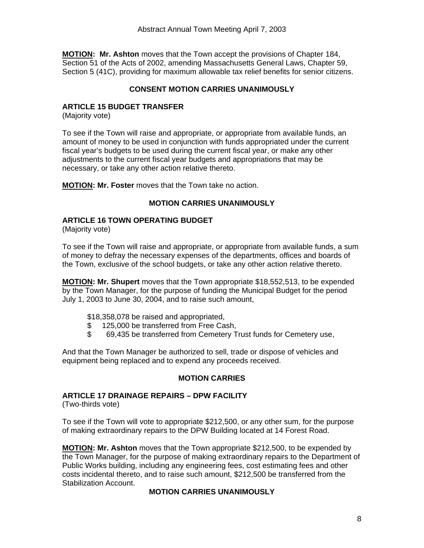<span id="page-7-0"></span>**MOTION: Mr. Ashton** moves that the Town accept the provisions of Chapter 184, Section 51 of the Acts of 2002, amending Massachusetts General Laws, Chapter 59, Section 5 (41C), providing for maximum allowable tax relief benefits for senior citizens.

## **CONSENT MOTION CARRIES UNANIMOUSLY**

## **ARTICLE 15 BUDGET TRANSFER**

(Majority vote)

To see if the Town will raise and appropriate, or appropriate from available funds, an amount of money to be used in conjunction with funds appropriated under the current fiscal year's budgets to be used during the current fiscal year, or make any other adjustments to the current fiscal year budgets and appropriations that may be necessary, or take any other action relative thereto.

**MOTION: Mr. Foster** moves that the Town take no action.

#### **MOTION CARRIES UNANIMOUSLY**

#### **ARTICLE 16 TOWN OPERATING BUDGET**

(Majority vote)

To see if the Town will raise and appropriate, or appropriate from available funds, a sum of money to defray the necessary expenses of the departments, offices and boards of the Town, exclusive of the school budgets, or take any other action relative thereto.

**MOTION: Mr. Shupert** moves that the Town appropriate \$18,552,513, to be expended by the Town Manager, for the purpose of funding the Municipal Budget for the period July 1, 2003 to June 30, 2004, and to raise such amount,

- \$18,358,078 be raised and appropriated,
- \$ 125,000 be transferred from Free Cash,
- \$ 69,435 be transferred from Cemetery Trust funds for Cemetery use,

And that the Town Manager be authorized to sell, trade or dispose of vehicles and equipment being replaced and to expend any proceeds received.

#### **MOTION CARRIES**

#### **ARTICLE 17 DRAINAGE REPAIRS – DPW FACILITY**

(Two-thirds vote)

To see if the Town will vote to appropriate \$212,500, or any other sum, for the purpose of making extraordinary repairs to the DPW Building located at 14 Forest Road.

**MOTION: Mr. Ashton** moves that the Town appropriate \$212,500, to be expended by the Town Manager, for the purpose of making extraordinary repairs to the Department of Public Works building, including any engineering fees, cost estimating fees and other costs incidental thereto, and to raise such amount, \$212,500 be transferred from the Stabilization Account.

#### **MOTION CARRIES UNANIMOUSLY**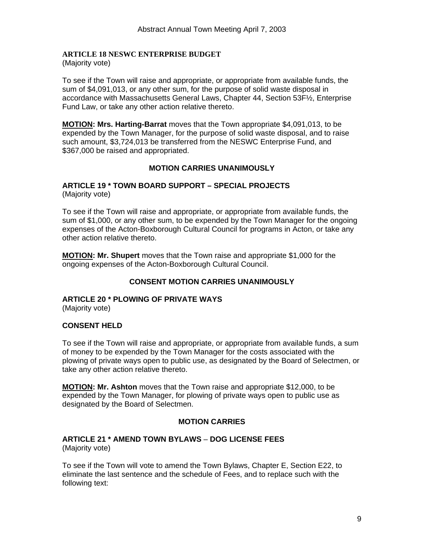# <span id="page-8-0"></span>**ARTICLE 18 NESWC ENTERPRISE BUDGET**

(Majority vote)

To see if the Town will raise and appropriate, or appropriate from available funds, the sum of \$4,091,013, or any other sum, for the purpose of solid waste disposal in accordance with Massachusetts General Laws, Chapter 44, Section 53F½, Enterprise Fund Law, or take any other action relative thereto.

**MOTION: Mrs. Harting-Barrat** moves that the Town appropriate \$4,091,013, to be expended by the Town Manager, for the purpose of solid waste disposal, and to raise such amount, \$3,724,013 be transferred from the NESWC Enterprise Fund, and \$367,000 be raised and appropriated.

## **MOTION CARRIES UNANIMOUSLY**

#### **ARTICLE 19 \* TOWN BOARD SUPPORT – SPECIAL PROJECTS**  (Majority vote)

To see if the Town will raise and appropriate, or appropriate from available funds, the sum of \$1,000, or any other sum, to be expended by the Town Manager for the ongoing expenses of the Acton-Boxborough Cultural Council for programs in Acton, or take any other action relative thereto.

**MOTION: Mr. Shupert** moves that the Town raise and appropriate \$1,000 for the ongoing expenses of the Acton-Boxborough Cultural Council.

## **CONSENT MOTION CARRIES UNANIMOUSLY**

## **ARTICLE 20 \* PLOWING OF PRIVATE WAYS**

(Majority vote)

#### **CONSENT HELD**

To see if the Town will raise and appropriate, or appropriate from available funds, a sum of money to be expended by the Town Manager for the costs associated with the plowing of private ways open to public use, as designated by the Board of Selectmen, or take any other action relative thereto.

**MOTION: Mr. Ashton** moves that the Town raise and appropriate \$12,000, to be expended by the Town Manager, for plowing of private ways open to public use as designated by the Board of Selectmen.

#### **MOTION CARRIES**

#### **ARTICLE 21 \* AMEND TOWN BYLAWS** – **DOG LICENSE FEES**  (Majority vote)

To see if the Town will vote to amend the Town Bylaws, Chapter E, Section E22, to eliminate the last sentence and the schedule of Fees, and to replace such with the following text: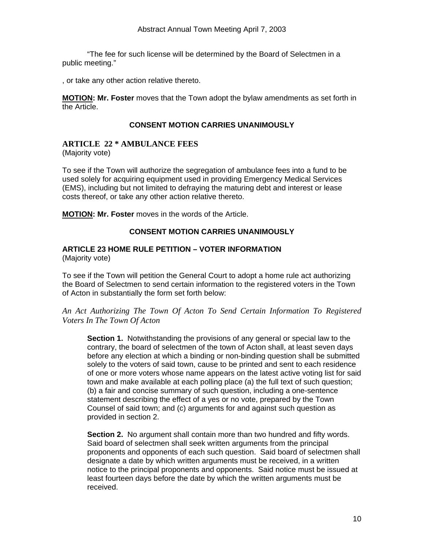<span id="page-9-0"></span> "The fee for such license will be determined by the Board of Selectmen in a public meeting."

, or take any other action relative thereto.

**MOTION: Mr. Foster** moves that the Town adopt the bylaw amendments as set forth in the Article.

#### **CONSENT MOTION CARRIES UNANIMOUSLY**

## **ARTICLE 22 \* AMBULANCE FEES**

(Majority vote)

To see if the Town will authorize the segregation of ambulance fees into a fund to be used solely for acquiring equipment used in providing Emergency Medical Services (EMS), including but not limited to defraying the maturing debt and interest or lease costs thereof, or take any other action relative thereto.

**MOTION: Mr. Foster** moves in the words of the Article.

## **CONSENT MOTION CARRIES UNANIMOUSLY**

#### **ARTICLE 23 HOME RULE PETITION – VOTER INFORMATION**  (Majority vote)

To see if the Town will petition the General Court to adopt a home rule act authorizing the Board of Selectmen to send certain information to the registered voters in the Town of Acton in substantially the form set forth below:

*An Act Authorizing The Town Of Acton To Send Certain Information To Registered Voters In The Town Of Acton* 

**Section 1.** Notwithstanding the provisions of any general or special law to the contrary, the board of selectmen of the town of Acton shall, at least seven days before any election at which a binding or non-binding question shall be submitted solely to the voters of said town, cause to be printed and sent to each residence of one or more voters whose name appears on the latest active voting list for said town and make available at each polling place (a) the full text of such question; (b) a fair and concise summary of such question, including a one-sentence statement describing the effect of a yes or no vote, prepared by the Town Counsel of said town; and (c) arguments for and against such question as provided in section 2.

**Section 2.** No argument shall contain more than two hundred and fifty words. Said board of selectmen shall seek written arguments from the principal proponents and opponents of each such question. Said board of selectmen shall designate a date by which written arguments must be received, in a written notice to the principal proponents and opponents. Said notice must be issued at least fourteen days before the date by which the written arguments must be received.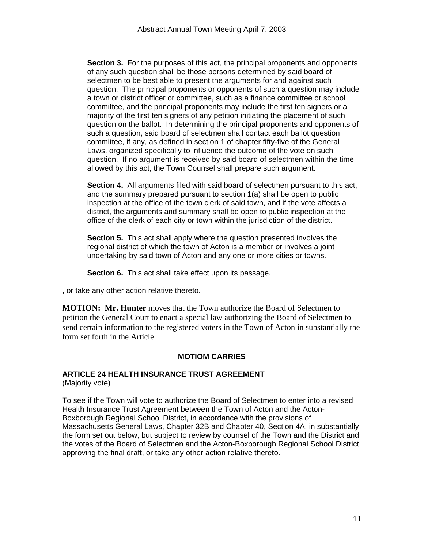<span id="page-10-0"></span>**Section 3.** For the purposes of this act, the principal proponents and opponents of any such question shall be those persons determined by said board of selectmen to be best able to present the arguments for and against such question. The principal proponents or opponents of such a question may include a town or district officer or committee, such as a finance committee or school committee, and the principal proponents may include the first ten signers or a majority of the first ten signers of any petition initiating the placement of such question on the ballot. In determining the principal proponents and opponents of such a question, said board of selectmen shall contact each ballot question committee, if any, as defined in section 1 of chapter fifty-five of the General Laws, organized specifically to influence the outcome of the vote on such question. If no argument is received by said board of selectmen within the time allowed by this act, the Town Counsel shall prepare such argument.

**Section 4.** All arguments filed with said board of selectmen pursuant to this act, and the summary prepared pursuant to section 1(a) shall be open to public inspection at the office of the town clerk of said town, and if the vote affects a district, the arguments and summary shall be open to public inspection at the office of the clerk of each city or town within the jurisdiction of the district.

**Section 5.** This act shall apply where the question presented involves the regional district of which the town of Acton is a member or involves a joint undertaking by said town of Acton and any one or more cities or towns.

**Section 6.** This act shall take effect upon its passage.

, or take any other action relative thereto.

**MOTION: Mr. Hunter** moves that the Town authorize the Board of Selectmen to petition the General Court to enact a special law authorizing the Board of Selectmen to send certain information to the registered voters in the Town of Acton in substantially the form set forth in the Article.

## **MOTIOM CARRIES**

## **ARTICLE 24 HEALTH INSURANCE TRUST AGREEMENT**

(Majority vote)

To see if the Town will vote to authorize the Board of Selectmen to enter into a revised Health Insurance Trust Agreement between the Town of Acton and the Acton-Boxborough Regional School District, in accordance with the provisions of Massachusetts General Laws, Chapter 32B and Chapter 40, Section 4A, in substantially the form set out below, but subject to review by counsel of the Town and the District and the votes of the Board of Selectmen and the Acton-Boxborough Regional School District approving the final draft, or take any other action relative thereto.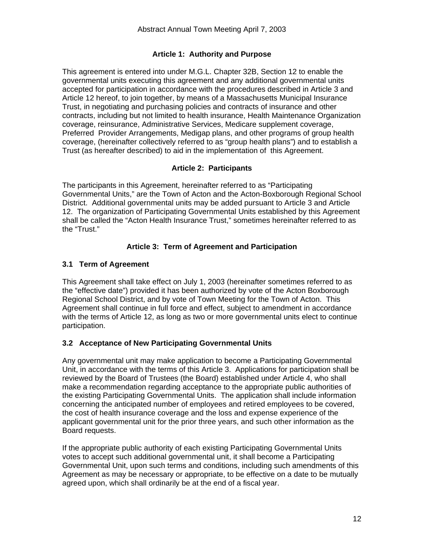## **Article 1: Authority and Purpose**

This agreement is entered into under M.G.L. Chapter 32B, Section 12 to enable the governmental units executing this agreement and any additional governmental units accepted for participation in accordance with the procedures described in Article 3 and Article 12 hereof, to join together, by means of a Massachusetts Municipal Insurance Trust, in negotiating and purchasing policies and contracts of insurance and other contracts, including but not limited to health insurance, Health Maintenance Organization coverage, reinsurance, Administrative Services, Medicare supplement coverage, Preferred Provider Arrangements, Medigap plans, and other programs of group health coverage, (hereinafter collectively referred to as "group health plans") and to establish a Trust (as hereafter described) to aid in the implementation of this Agreement.

## **Article 2: Participants**

The participants in this Agreement, hereinafter referred to as "Participating Governmental Units," are the Town of Acton and the Acton-Boxborough Regional School District. Additional governmental units may be added pursuant to Article 3 and Article 12. The organization of Participating Governmental Units established by this Agreement shall be called the "Acton Health Insurance Trust," sometimes hereinafter referred to as the "Trust."

## **Article 3: Term of Agreement and Participation**

## **3.1 Term of Agreement**

This Agreement shall take effect on July 1, 2003 (hereinafter sometimes referred to as the "effective date") provided it has been authorized by vote of the Acton Boxborough Regional School District, and by vote of Town Meeting for the Town of Acton. This Agreement shall continue in full force and effect, subject to amendment in accordance with the terms of Article 12, as long as two or more governmental units elect to continue participation.

#### **3.2 Acceptance of New Participating Governmental Units**

Any governmental unit may make application to become a Participating Governmental Unit, in accordance with the terms of this Article 3. Applications for participation shall be reviewed by the Board of Trustees (the Board) established under Article 4, who shall make a recommendation regarding acceptance to the appropriate public authorities of the existing Participating Governmental Units. The application shall include information concerning the anticipated number of employees and retired employees to be covered, the cost of health insurance coverage and the loss and expense experience of the applicant governmental unit for the prior three years, and such other information as the Board requests.

If the appropriate public authority of each existing Participating Governmental Units votes to accept such additional governmental unit, it shall become a Participating Governmental Unit, upon such terms and conditions, including such amendments of this Agreement as may be necessary or appropriate, to be effective on a date to be mutually agreed upon, which shall ordinarily be at the end of a fiscal year.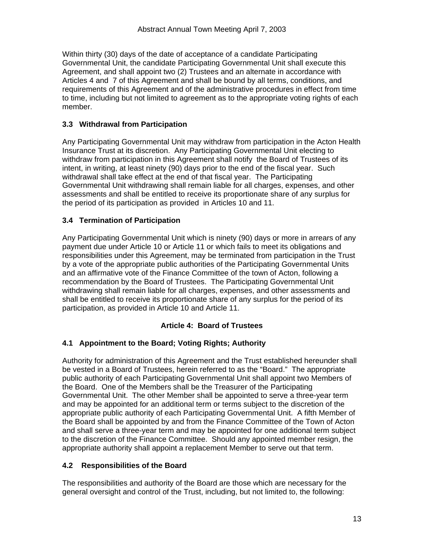Within thirty (30) days of the date of acceptance of a candidate Participating Governmental Unit, the candidate Participating Governmental Unit shall execute this Agreement, and shall appoint two (2) Trustees and an alternate in accordance with Articles 4 and 7 of this Agreement and shall be bound by all terms, conditions, and requirements of this Agreement and of the administrative procedures in effect from time to time, including but not limited to agreement as to the appropriate voting rights of each member.

## **3.3 Withdrawal from Participation**

Any Participating Governmental Unit may withdraw from participation in the Acton Health Insurance Trust at its discretion. Any Participating Governmental Unit electing to withdraw from participation in this Agreement shall notify the Board of Trustees of its intent, in writing, at least ninety (90) days prior to the end of the fiscal year. Such withdrawal shall take effect at the end of that fiscal year. The Participating Governmental Unit withdrawing shall remain liable for all charges, expenses, and other assessments and shall be entitled to receive its proportionate share of any surplus for the period of its participation as provided in Articles 10 and 11.

## **3.4 Termination of Participation**

Any Participating Governmental Unit which is ninety (90) days or more in arrears of any payment due under Article 10 or Article 11 or which fails to meet its obligations and responsibilities under this Agreement, may be terminated from participation in the Trust by a vote of the appropriate public authorities of the Participating Governmental Units and an affirmative vote of the Finance Committee of the town of Acton, following a recommendation by the Board of Trustees. The Participating Governmental Unit withdrawing shall remain liable for all charges, expenses, and other assessments and shall be entitled to receive its proportionate share of any surplus for the period of its participation, as provided in Article 10 and Article 11.

## **Article 4: Board of Trustees**

## **4.1 Appointment to the Board; Voting Rights; Authority**

Authority for administration of this Agreement and the Trust established hereunder shall be vested in a Board of Trustees, herein referred to as the "Board." The appropriate public authority of each Participating Governmental Unit shall appoint two Members of the Board. One of the Members shall be the Treasurer of the Participating Governmental Unit. The other Member shall be appointed to serve a three-year term and may be appointed for an additional term or terms subject to the discretion of the appropriate public authority of each Participating Governmental Unit. A fifth Member of the Board shall be appointed by and from the Finance Committee of the Town of Acton and shall serve a three-year term and may be appointed for one additional term subject to the discretion of the Finance Committee. Should any appointed member resign, the appropriate authority shall appoint a replacement Member to serve out that term.

#### **4.2 Responsibilities of the Board**

The responsibilities and authority of the Board are those which are necessary for the general oversight and control of the Trust, including, but not limited to, the following: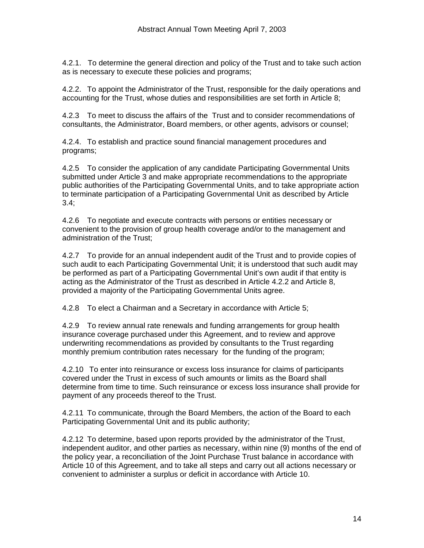4.2.1. To determine the general direction and policy of the Trust and to take such action as is necessary to execute these policies and programs;

4.2.2. To appoint the Administrator of the Trust, responsible for the daily operations and accounting for the Trust, whose duties and responsibilities are set forth in Article 8;

4.2.3 To meet to discuss the affairs of the Trust and to consider recommendations of consultants, the Administrator, Board members, or other agents, advisors or counsel;

4.2.4. To establish and practice sound financial management procedures and programs;

4.2.5 To consider the application of any candidate Participating Governmental Units submitted under Article 3 and make appropriate recommendations to the appropriate public authorities of the Participating Governmental Units, and to take appropriate action to terminate participation of a Participating Governmental Unit as described by Article  $3.4$ ;

4.2.6 To negotiate and execute contracts with persons or entities necessary or convenient to the provision of group health coverage and/or to the management and administration of the Trust;

4.2.7 To provide for an annual independent audit of the Trust and to provide copies of such audit to each Participating Governmental Unit; it is understood that such audit may be performed as part of a Participating Governmental Unit's own audit if that entity is acting as the Administrator of the Trust as described in Article 4.2.2 and Article 8, provided a majority of the Participating Governmental Units agree.

4.2.8 To elect a Chairman and a Secretary in accordance with Article 5;

4.2.9 To review annual rate renewals and funding arrangements for group health insurance coverage purchased under this Agreement, and to review and approve underwriting recommendations as provided by consultants to the Trust regarding monthly premium contribution rates necessary for the funding of the program;

4.2.10 To enter into reinsurance or excess loss insurance for claims of participants covered under the Trust in excess of such amounts or limits as the Board shall determine from time to time. Such reinsurance or excess loss insurance shall provide for payment of any proceeds thereof to the Trust.

4.2.11 To communicate, through the Board Members, the action of the Board to each Participating Governmental Unit and its public authority;

4.2.12 To determine, based upon reports provided by the administrator of the Trust, independent auditor, and other parties as necessary, within nine (9) months of the end of the policy year, a reconciliation of the Joint Purchase Trust balance in accordance with Article 10 of this Agreement, and to take all steps and carry out all actions necessary or convenient to administer a surplus or deficit in accordance with Article 10.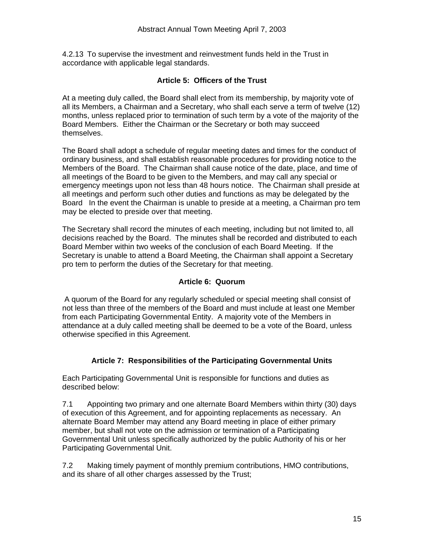4.2.13 To supervise the investment and reinvestment funds held in the Trust in accordance with applicable legal standards.

## **Article 5: Officers of the Trust**

At a meeting duly called, the Board shall elect from its membership, by majority vote of all its Members, a Chairman and a Secretary, who shall each serve a term of twelve (12) months, unless replaced prior to termination of such term by a vote of the majority of the Board Members. Either the Chairman or the Secretary or both may succeed themselves.

The Board shall adopt a schedule of regular meeting dates and times for the conduct of ordinary business, and shall establish reasonable procedures for providing notice to the Members of the Board. The Chairman shall cause notice of the date, place, and time of all meetings of the Board to be given to the Members, and may call any special or emergency meetings upon not less than 48 hours notice. The Chairman shall preside at all meetings and perform such other duties and functions as may be delegated by the Board In the event the Chairman is unable to preside at a meeting, a Chairman pro tem may be elected to preside over that meeting.

The Secretary shall record the minutes of each meeting, including but not limited to, all decisions reached by the Board. The minutes shall be recorded and distributed to each Board Member within two weeks of the conclusion of each Board Meeting. If the Secretary is unable to attend a Board Meeting, the Chairman shall appoint a Secretary pro tem to perform the duties of the Secretary for that meeting.

## **Article 6: Quorum**

 A quorum of the Board for any regularly scheduled or special meeting shall consist of not less than three of the members of the Board and must include at least one Member from each Participating Governmental Entity. A majority vote of the Members in attendance at a duly called meeting shall be deemed to be a vote of the Board, unless otherwise specified in this Agreement.

#### **Article 7: Responsibilities of the Participating Governmental Units**

Each Participating Governmental Unit is responsible for functions and duties as described below:

7.1 Appointing two primary and one alternate Board Members within thirty (30) days of execution of this Agreement, and for appointing replacements as necessary. An alternate Board Member may attend any Board meeting in place of either primary member, but shall not vote on the admission or termination of a Participating Governmental Unit unless specifically authorized by the public Authority of his or her Participating Governmental Unit.

7.2 Making timely payment of monthly premium contributions, HMO contributions, and its share of all other charges assessed by the Trust;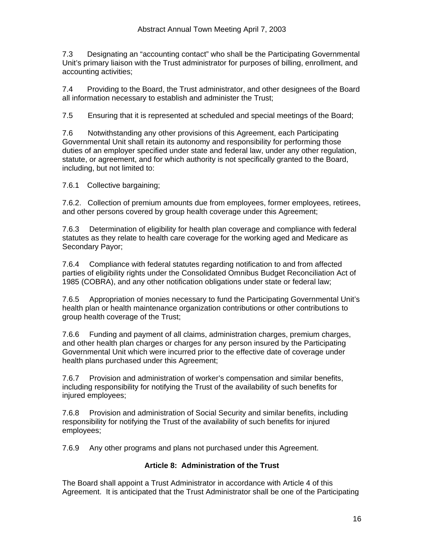7.3 Designating an "accounting contact" who shall be the Participating Governmental Unit's primary liaison with the Trust administrator for purposes of billing, enrollment, and accounting activities;

7.4 Providing to the Board, the Trust administrator, and other designees of the Board all information necessary to establish and administer the Trust;

7.5 Ensuring that it is represented at scheduled and special meetings of the Board;

7.6 Notwithstanding any other provisions of this Agreement, each Participating Governmental Unit shall retain its autonomy and responsibility for performing those duties of an employer specified under state and federal law, under any other regulation, statute, or agreement, and for which authority is not specifically granted to the Board, including, but not limited to:

7.6.1 Collective bargaining;

7.6.2. Collection of premium amounts due from employees, former employees, retirees, and other persons covered by group health coverage under this Agreement;

7.6.3 Determination of eligibility for health plan coverage and compliance with federal statutes as they relate to health care coverage for the working aged and Medicare as Secondary Payor;

7.6.4 Compliance with federal statutes regarding notification to and from affected parties of eligibility rights under the Consolidated Omnibus Budget Reconciliation Act of 1985 (COBRA), and any other notification obligations under state or federal law;

7.6.5 Appropriation of monies necessary to fund the Participating Governmental Unit's health plan or health maintenance organization contributions or other contributions to group health coverage of the Trust;

7.6.6 Funding and payment of all claims, administration charges, premium charges, and other health plan charges or charges for any person insured by the Participating Governmental Unit which were incurred prior to the effective date of coverage under health plans purchased under this Agreement;

7.6.7 Provision and administration of worker's compensation and similar benefits, including responsibility for notifying the Trust of the availability of such benefits for injured employees;

7.6.8 Provision and administration of Social Security and similar benefits, including responsibility for notifying the Trust of the availability of such benefits for injured employees;

7.6.9 Any other programs and plans not purchased under this Agreement.

## **Article 8: Administration of the Trust**

The Board shall appoint a Trust Administrator in accordance with Article 4 of this Agreement. It is anticipated that the Trust Administrator shall be one of the Participating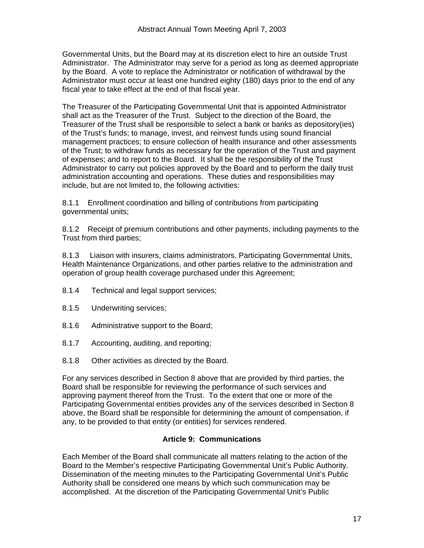Governmental Units, but the Board may at its discretion elect to hire an outside Trust Administrator. The Administrator may serve for a period as long as deemed appropriate by the Board. A vote to replace the Administrator or notification of withdrawal by the Administrator must occur at least one hundred eighty (180) days prior to the end of any fiscal year to take effect at the end of that fiscal year.

The Treasurer of the Participating Governmental Unit that is appointed Administrator shall act as the Treasurer of the Trust. Subject to the direction of the Board, the Treasurer of the Trust shall be responsible to select a bank or banks as depository(ies) of the Trust's funds; to manage, invest, and reinvest funds using sound financial management practices; to ensure collection of health insurance and other assessments of the Trust; to withdraw funds as necessary for the operation of the Trust and payment of expenses; and to report to the Board. It shall be the responsibility of the Trust Administrator to carry out policies approved by the Board and to perform the daily trust administration accounting and operations. These duties and responsibilities may include, but are not limited to, the following activities:

8.1.1 Enrollment coordination and billing of contributions from participating governmental units;

8.1.2 Receipt of premium contributions and other payments, including payments to the Trust from third parties;

8.1.3 Liaison with insurers, claims administrators, Participating Governmental Units, Health Maintenance Organizations, and other parties relative to the administration and operation of group health coverage purchased under this Agreement;

- 8.1.4 Technical and legal support services;
- 8.1.5 Underwriting services;
- 8.1.6 Administrative support to the Board;
- 8.1.7 Accounting, auditing, and reporting;
- 8.1.8 Other activities as directed by the Board.

For any services described in Section 8 above that are provided by third parties, the Board shall be responsible for reviewing the performance of such services and approving payment thereof from the Trust. To the extent that one or more of the Participating Governmental entities provides any of the services described in Section 8 above, the Board shall be responsible for determining the amount of compensation, if any, to be provided to that entity (or entities) for services rendered.

#### **Article 9: Communications**

Each Member of the Board shall communicate all matters relating to the action of the Board to the Member's respective Participating Governmental Unit's Public Authority. Dissemination of the meeting minutes to the Participating Governmental Unit's Public Authority shall be considered one means by which such communication may be accomplished. At the discretion of the Participating Governmental Unit's Public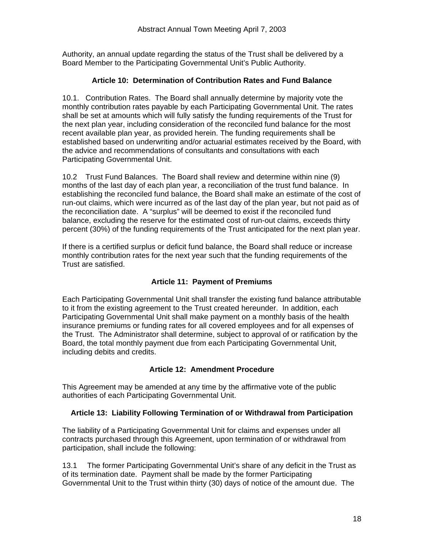Authority, an annual update regarding the status of the Trust shall be delivered by a Board Member to the Participating Governmental Unit's Public Authority.

## **Article 10: Determination of Contribution Rates and Fund Balance**

10.1. Contribution Rates. The Board shall annually determine by majority vote the monthly contribution rates payable by each Participating Governmental Unit. The rates shall be set at amounts which will fully satisfy the funding requirements of the Trust for the next plan year, including consideration of the reconciled fund balance for the most recent available plan year, as provided herein. The funding requirements shall be established based on underwriting and/or actuarial estimates received by the Board, with the advice and recommendations of consultants and consultations with each Participating Governmental Unit.

10.2 Trust Fund Balances. The Board shall review and determine within nine (9) months of the last day of each plan year, a reconciliation of the trust fund balance. In establishing the reconciled fund balance, the Board shall make an estimate of the cost of run-out claims, which were incurred as of the last day of the plan year, but not paid as of the reconciliation date. A "surplus" will be deemed to exist if the reconciled fund balance, excluding the reserve for the estimated cost of run-out claims, exceeds thirty percent (30%) of the funding requirements of the Trust anticipated for the next plan year.

If there is a certified surplus or deficit fund balance, the Board shall reduce or increase monthly contribution rates for the next year such that the funding requirements of the Trust are satisfied.

## **Article 11: Payment of Premiums**

Each Participating Governmental Unit shall transfer the existing fund balance attributable to it from the existing agreement to the Trust created hereunder. In addition, each Participating Governmental Unit shall make payment on a monthly basis of the health insurance premiums or funding rates for all covered employees and for all expenses of the Trust. The Administrator shall determine, subject to approval of or ratification by the Board, the total monthly payment due from each Participating Governmental Unit, including debits and credits.

## **Article 12: Amendment Procedure**

This Agreement may be amended at any time by the affirmative vote of the public authorities of each Participating Governmental Unit.

## **Article 13: Liability Following Termination of or Withdrawal from Participation**

The liability of a Participating Governmental Unit for claims and expenses under all contracts purchased through this Agreement, upon termination of or withdrawal from participation, shall include the following:

13.1 The former Participating Governmental Unit's share of any deficit in the Trust as of its termination date. Payment shall be made by the former Participating Governmental Unit to the Trust within thirty (30) days of notice of the amount due. The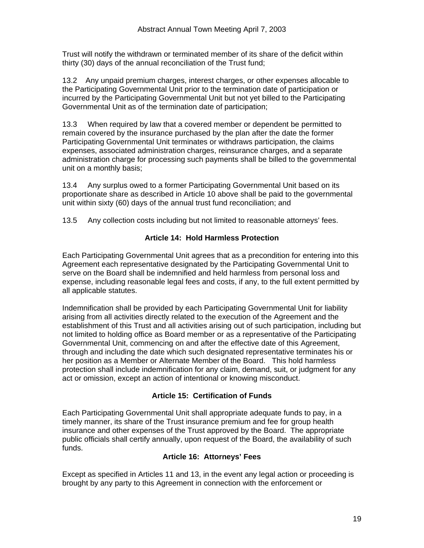Trust will notify the withdrawn or terminated member of its share of the deficit within thirty (30) days of the annual reconciliation of the Trust fund;

13.2 Any unpaid premium charges, interest charges, or other expenses allocable to the Participating Governmental Unit prior to the termination date of participation or incurred by the Participating Governmental Unit but not yet billed to the Participating Governmental Unit as of the termination date of participation;

13.3 When required by law that a covered member or dependent be permitted to remain covered by the insurance purchased by the plan after the date the former Participating Governmental Unit terminates or withdraws participation, the claims expenses, associated administration charges, reinsurance charges, and a separate administration charge for processing such payments shall be billed to the governmental unit on a monthly basis;

13.4 Any surplus owed to a former Participating Governmental Unit based on its proportionate share as described in Article 10 above shall be paid to the governmental unit within sixty (60) days of the annual trust fund reconciliation; and

13.5 Any collection costs including but not limited to reasonable attorneys' fees.

## **Article 14: Hold Harmless Protection**

Each Participating Governmental Unit agrees that as a precondition for entering into this Agreement each representative designated by the Participating Governmental Unit to serve on the Board shall be indemnified and held harmless from personal loss and expense, including reasonable legal fees and costs, if any, to the full extent permitted by all applicable statutes.

Indemnification shall be provided by each Participating Governmental Unit for liability arising from all activities directly related to the execution of the Agreement and the establishment of this Trust and all activities arising out of such participation, including but not limited to holding office as Board member or as a representative of the Participating Governmental Unit, commencing on and after the effective date of this Agreement, through and including the date which such designated representative terminates his or her position as a Member or Alternate Member of the Board. This hold harmless protection shall include indemnification for any claim, demand, suit, or judgment for any act or omission, except an action of intentional or knowing misconduct.

## **Article 15: Certification of Funds**

Each Participating Governmental Unit shall appropriate adequate funds to pay, in a timely manner, its share of the Trust insurance premium and fee for group health insurance and other expenses of the Trust approved by the Board. The appropriate public officials shall certify annually, upon request of the Board, the availability of such funds.

#### **Article 16: Attorneys' Fees**

Except as specified in Articles 11 and 13, in the event any legal action or proceeding is brought by any party to this Agreement in connection with the enforcement or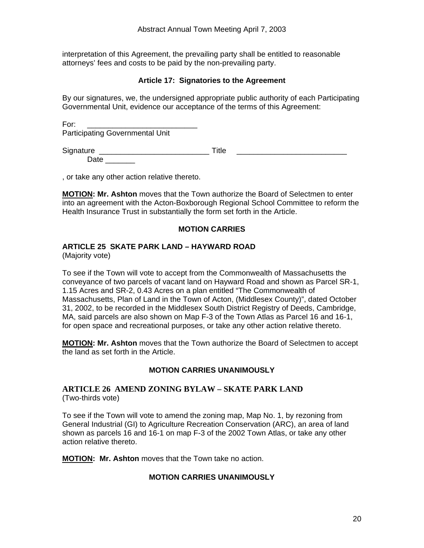<span id="page-19-0"></span>interpretation of this Agreement, the prevailing party shall be entitled to reasonable attorneys' fees and costs to be paid by the non-prevailing party.

## **Article 17: Signatories to the Agreement**

By our signatures, we, the undersigned appropriate public authority of each Participating Governmental Unit, evidence our acceptance of the terms of this Agreement:

For: \_\_\_\_\_\_\_\_\_\_\_\_\_\_\_\_\_\_\_\_\_\_\_\_\_\_ Participating Governmental Unit

Signature \_\_\_\_\_\_\_\_\_\_\_\_\_\_\_\_\_\_\_\_\_\_\_\_\_\_ Title \_\_\_\_\_\_\_\_\_\_\_\_\_\_\_\_\_\_\_\_\_\_\_\_\_\_ Date  $\qquad \qquad$ 

, or take any other action relative thereto.

**MOTION: Mr. Ashton** moves that the Town authorize the Board of Selectmen to enter into an agreement with the Acton-Boxborough Regional School Committee to reform the Health Insurance Trust in substantially the form set forth in the Article.

## **MOTION CARRIES**

## **ARTICLE 25 SKATE PARK LAND – HAYWARD ROAD**

(Majority vote)

To see if the Town will vote to accept from the Commonwealth of Massachusetts the conveyance of two parcels of vacant land on Hayward Road and shown as Parcel SR-1, 1.15 Acres and SR-2, 0.43 Acres on a plan entitled "The Commonwealth of Massachusetts, Plan of Land in the Town of Acton, (Middlesex County)", dated October 31, 2002, to be recorded in the Middlesex South District Registry of Deeds, Cambridge, MA, said parcels are also shown on Map F-3 of the Town Atlas as Parcel 16 and 16-1, for open space and recreational purposes, or take any other action relative thereto.

**MOTION: Mr. Ashton** moves that the Town authorize the Board of Selectmen to accept the land as set forth in the Article.

#### **MOTION CARRIES UNANIMOUSLY**

#### **ARTICLE 26 AMEND ZONING BYLAW – SKATE PARK LAND** (Two-thirds vote)

To see if the Town will vote to amend the zoning map, Map No. 1, by rezoning from General Industrial (GI) to Agriculture Recreation Conservation (ARC), an area of land shown as parcels 16 and 16-1 on map F-3 of the 2002 Town Atlas, or take any other action relative thereto.

**MOTION: Mr. Ashton** moves that the Town take no action.

#### **MOTION CARRIES UNANIMOUSLY**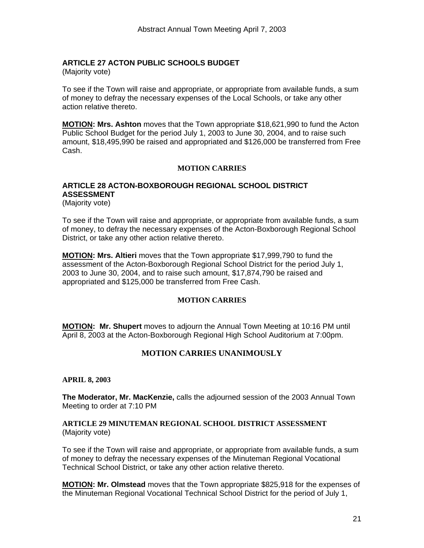## <span id="page-20-0"></span>**ARTICLE 27 ACTON PUBLIC SCHOOLS BUDGET**

(Majority vote)

To see if the Town will raise and appropriate, or appropriate from available funds, a sum of money to defray the necessary expenses of the Local Schools, or take any other action relative thereto.

**MOTION: Mrs. Ashton** moves that the Town appropriate \$18,621,990 to fund the Acton Public School Budget for the period July 1, 2003 to June 30, 2004, and to raise such amount, \$18,495,990 be raised and appropriated and \$126,000 be transferred from Free Cash.

#### **MOTION CARRIES**

## **ARTICLE 28 ACTON-BOXBOROUGH REGIONAL SCHOOL DISTRICT ASSESSMENT**

(Majority vote)

To see if the Town will raise and appropriate, or appropriate from available funds, a sum of money, to defray the necessary expenses of the Acton-Boxborough Regional School District, or take any other action relative thereto.

**MOTION: Mrs. Altieri** moves that the Town appropriate \$17,999,790 to fund the assessment of the Acton-Boxborough Regional School District for the period July 1, 2003 to June 30, 2004, and to raise such amount, \$17,874,790 be raised and appropriated and \$125,000 be transferred from Free Cash.

#### **MOTION CARRIES**

**MOTION: Mr. Shupert** moves to adjourn the Annual Town Meeting at 10:16 PM until April 8, 2003 at the Acton-Boxborough Regional High School Auditorium at 7:00pm.

#### **MOTION CARRIES UNANIMOUSLY**

#### **APRIL 8, 2003**

**The Moderator, Mr. MacKenzie,** calls the adjourned session of the 2003 Annual Town Meeting to order at 7:10 PM

#### **ARTICLE 29 MINUTEMAN REGIONAL SCHOOL DISTRICT ASSESSMENT**  (Majority vote)

To see if the Town will raise and appropriate, or appropriate from available funds, a sum of money to defray the necessary expenses of the Minuteman Regional Vocational Technical School District, or take any other action relative thereto.

**MOTION: Mr. Olmstead** moves that the Town appropriate \$825,918 for the expenses of the Minuteman Regional Vocational Technical School District for the period of July 1,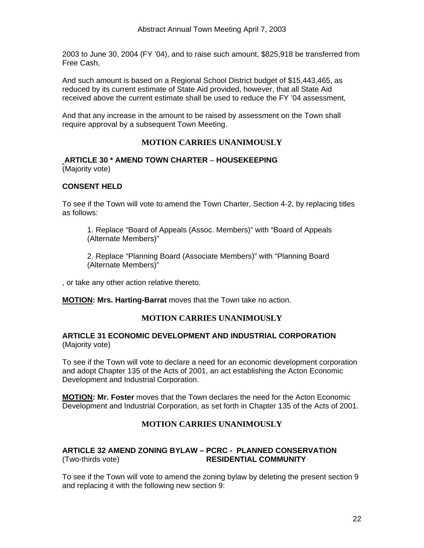<span id="page-21-0"></span>2003 to June 30, 2004 (FY '04), and to raise such amount, \$825,918 be transferred from Free Cash,

And such amount is based on a Regional School District budget of \$15,443,465, as reduced by its current estimate of State Aid provided, however, that all State Aid received above the current estimate shall be used to reduce the FY '04 assessment,

And that any increase in the amount to be raised by assessment on the Town shall require approval by a subsequent Town Meeting.

## **MOTION CARRIES UNANIMOUSLY**

#### **ARTICLE 30 \* AMEND TOWN CHARTER** – **HOUSEKEEPING** (Majority vote)

## **CONSENT HELD**

To see if the Town will vote to amend the Town Charter, Section 4-2, by replacing titles as follows:

1. Replace "Board of Appeals (Assoc. Members)" with "Board of Appeals (Alternate Members)"

2. Replace "Planning Board (Associate Members)" with "Planning Board (Alternate Members)"

, or take any other action relative thereto.

**MOTION: Mrs. Harting-Barrat** moves that the Town take no action.

#### **MOTION CARRIES UNANIMOUSLY**

#### **ARTICLE 31 ECONOMIC DEVELOPMENT AND INDUSTRIAL CORPORATION**  (Majority vote)

To see if the Town will vote to declare a need for an economic development corporation and adopt Chapter 135 of the Acts of 2001, an act establishing the Acton Economic Development and Industrial Corporation.

**MOTION: Mr. Foster** moves that the Town declares the need for the Acton Economic Development and Industrial Corporation, as set forth in Chapter 135 of the Acts of 2001.

## **MOTION CARRIES UNANIMOUSLY**

## **ARTICLE 32 AMEND ZONING BYLAW – PCRC - PLANNED CONSERVATION** (Two-thirds vote) **RESIDENTIAL COMMUNITY**

To see if the Town will vote to amend the zoning bylaw by deleting the present section 9 and replacing it with the following new section 9: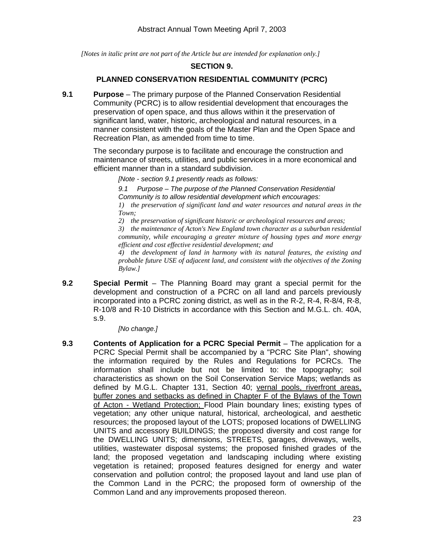*[Notes in italic print are not part of the Article but are intended for explanation only.]* 

#### **SECTION 9.**

#### **PLANNED CONSERVATION RESIDENTIAL COMMUNITY (PCRC)**

**9.1 Purpose** – The primary purpose of the Planned Conservation Residential Community (PCRC) is to allow residential development that encourages the preservation of open space, and thus allows within it the preservation of significant land, water, historic, archeological and natural resources, in a manner consistent with the goals of the Master Plan and the Open Space and Recreation Plan, as amended from time to time.

> The secondary purpose is to facilitate and encourage the construction and maintenance of streets, utilities, and public services in a more economical and efficient manner than in a standard subdivision.

*[Note - section 9.1 presently reads as follows:* 

*9.1 Purpose – The purpose of the Planned Conservation Residential Community is to allow residential development which encourages: 1) the preservation of significant land and water resources and natural areas in the Town;* 

*2) the preservation of significant historic or archeological resources and areas; 3) the maintenance of Acton's New England town character as a suburban residential community, while encouraging a greater mixture of housing types and more energy* 

*efficient and cost effective residential development; and 4) the development of land in harmony with its natural features, the existing and probable future USE of adjacent land, and consistent with the objectives of the Zoning Bylaw.]* 

**9.2 Special Permit** – The Planning Board may grant a special permit for the development and construction of a PCRC on all land and parcels previously incorporated into a PCRC zoning district, as well as in the R-2, R-4, R-8/4, R-8, R-10/8 and R-10 Districts in accordance with this Section and M.G.L. ch. 40A, s.9.

*[No change.]* 

**9.3 Contents of Application for a PCRC Special Permit** – The application for a PCRC Special Permit shall be accompanied by a "PCRC Site Plan", showing the information required by the Rules and Regulations for PCRCs. The information shall include but not be limited to: the topography; soil characteristics as shown on the Soil Conservation Service Maps; wetlands as defined by M.G.L. Chapter 131, Section 40; vernal pools, riverfront areas, buffer zones and setbacks as defined in Chapter F of the Bylaws of the Town of Acton - Wetland Protection; Flood Plain boundary lines; existing types of vegetation; any other unique natural, historical, archeological, and aesthetic resources; the proposed layout of the LOTS; proposed locations of DWELLING UNITS and accessory BUILDINGS; the proposed diversity and cost range for the DWELLING UNITS; dimensions, STREETS, garages, driveways, wells, utilities, wastewater disposal systems; the proposed finished grades of the land; the proposed vegetation and landscaping including where existing vegetation is retained; proposed features designed for energy and water conservation and pollution control; the proposed layout and land use plan of the Common Land in the PCRC; the proposed form of ownership of the Common Land and any improvements proposed thereon.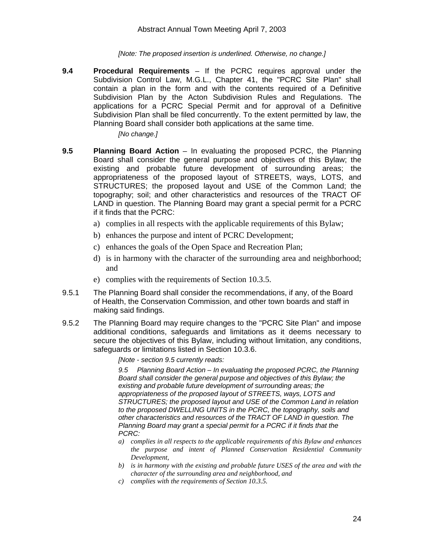#### *[Note: The proposed insertion is underlined. Otherwise, no change.]*

**9.4 Procedural Requirements** – If the PCRC requires approval under the Subdivision Control Law, M.G.L., Chapter 41, the "PCRC Site Plan" shall contain a plan in the form and with the contents required of a Definitive Subdivision Plan by the Acton Subdivision Rules and Regulations. The applications for a PCRC Special Permit and for approval of a Definitive Subdivision Plan shall be filed concurrently. To the extent permitted by law, the Planning Board shall consider both applications at the same time.

*[No change.]* 

- **9.5 Planning Board Action** In evaluating the proposed PCRC, the Planning Board shall consider the general purpose and objectives of this Bylaw; the existing and probable future development of surrounding areas; the appropriateness of the proposed layout of STREETS, ways, LOTS, and STRUCTURES; the proposed layout and USE of the Common Land; the topography; soil; and other characteristics and resources of the TRACT OF LAND in question. The Planning Board may grant a special permit for a PCRC if it finds that the PCRC:
	- a) complies in all respects with the applicable requirements of this Bylaw;
	- b) enhances the purpose and intent of PCRC Development;
	- c) enhances the goals of the Open Space and Recreation Plan;
	- d) is in harmony with the character of the surrounding area and neighborhood; and
	- e) complies with the requirements of Section 10.3.5.
- 9.5.1 The Planning Board shall consider the recommendations, if any, of the Board of Health, the Conservation Commission, and other town boards and staff in making said findings.
- 9.5.2 The Planning Board may require changes to the "PCRC Site Plan" and impose additional conditions, safeguards and limitations as it deems necessary to secure the objectives of this Bylaw, including without limitation, any conditions, safeguards or limitations listed in Section 10.3.6.

*[Note - section 9.5 currently reads:* 

*9.5 Planning Board Action – In evaluating the proposed PCRC, the Planning Board shall consider the general purpose and objectives of this Bylaw; the existing and probable future development of surrounding areas; the appropriateness of the proposed layout of STREETS, ways, LOTS and STRUCTURES; the proposed layout and USE of the Common Land in relation to the proposed DWELLING UNITS in the PCRC, the topography, soils and other characteristics and resources of the TRACT OF LAND in question. The Planning Board may grant a special permit for a PCRC if it finds that the PCRC:* 

- *a) complies in all respects to the applicable requirements of this Bylaw and enhances the purpose and intent of Planned Conservation Residential Community Development,*
- *b) is in harmony with the existing and probable future USES of the area and with the character of the surrounding area and neighborhood, and*
- *c) complies with the requirements of Section 10.3.5.*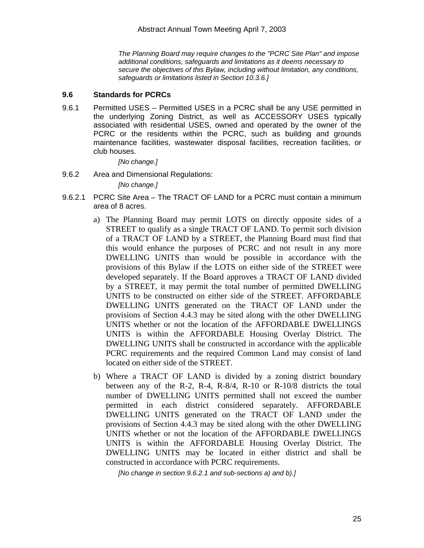*The Planning Board may require changes to the "PCRC Site Plan" and impose additional conditions, safeguards and limitations as it deems necessary to secure the objectives of this Bylaw, including without limitation, any conditions, safeguards or limitations listed in Section 10.3.6.]* 

#### **9.6 Standards for PCRCs**

9.6.1 Permitted USES – Permitted USES in a PCRC shall be any USE permitted in the underlying Zoning District, as well as ACCESSORY USES typically associated with residential USES, owned and operated by the owner of the PCRC or the residents within the PCRC, such as building and grounds maintenance facilities, wastewater disposal facilities, recreation facilities, or club houses.

*[No change.]* 

9.6.2 Area and Dimensional Regulations:

*[No change.]* 

- 9.6.2.1 PCRC Site Area The TRACT OF LAND for a PCRC must contain a minimum area of 8 acres.
	- a) The Planning Board may permit LOTS on directly opposite sides of a STREET to qualify as a single TRACT OF LAND. To permit such division of a TRACT OF LAND by a STREET, the Planning Board must find that this would enhance the purposes of PCRC and not result in any more DWELLING UNITS than would be possible in accordance with the provisions of this Bylaw if the LOTS on either side of the STREET were developed separately. If the Board approves a TRACT OF LAND divided by a STREET, it may permit the total number of permitted DWELLING UNITS to be constructed on either side of the STREET. AFFORDABLE DWELLING UNITS generated on the TRACT OF LAND under the provisions of Section 4.4.3 may be sited along with the other DWELLING UNITS whether or not the location of the AFFORDABLE DWELLINGS UNITS is within the AFFORDABLE Housing Overlay District. The DWELLING UNITS shall be constructed in accordance with the applicable PCRC requirements and the required Common Land may consist of land located on either side of the STREET.
	- b) Where a TRACT OF LAND is divided by a zoning district boundary between any of the R-2, R-4, R-8/4, R-10 or R-10/8 districts the total number of DWELLING UNITS permitted shall not exceed the number permitted in each district considered separately. AFFORDABLE DWELLING UNITS generated on the TRACT OF LAND under the provisions of Section 4.4.3 may be sited along with the other DWELLING UNITS whether or not the location of the AFFORDABLE DWELLINGS UNITS is within the AFFORDABLE Housing Overlay District. The DWELLING UNITS may be located in either district and shall be constructed in accordance with PCRC requirements.

*[No change in section 9.6.2.1 and sub-sections a) and b).]*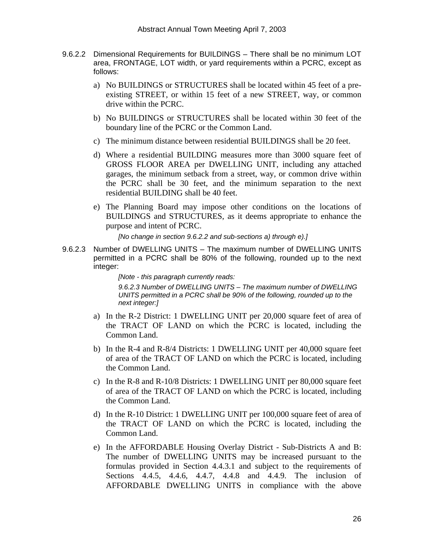- 9.6.2.2 Dimensional Requirements for BUILDINGS There shall be no minimum LOT area, FRONTAGE, LOT width, or yard requirements within a PCRC, except as follows:
	- a) No BUILDINGS or STRUCTURES shall be located within 45 feet of a preexisting STREET, or within 15 feet of a new STREET, way, or common drive within the PCRC.
	- b) No BUILDINGS or STRUCTURES shall be located within 30 feet of the boundary line of the PCRC or the Common Land.
	- c) The minimum distance between residential BUILDINGS shall be 20 feet.
	- d) Where a residential BUILDING measures more than 3000 square feet of GROSS FLOOR AREA per DWELLING UNIT, including any attached garages, the minimum setback from a street, way, or common drive within the PCRC shall be 30 feet, and the minimum separation to the next residential BUILDING shall be 40 feet.
	- e) The Planning Board may impose other conditions on the locations of BUILDINGS and STRUCTURES, as it deems appropriate to enhance the purpose and intent of PCRC.

*[No change in section 9.6.2.2 and sub-sections a) through e).]* 

9.6.2.3 Number of DWELLING UNITS – The maximum number of DWELLING UNITS permitted in a PCRC shall be 80% of the following, rounded up to the next integer:

> *[Note - this paragraph currently reads: 9.6.2.3 Number of DWELLING UNITS – The maximum number of DWELLING UNITS permitted in a PCRC shall be 90% of the following, rounded up to the next integer:]*

- a) In the R-2 District: 1 DWELLING UNIT per 20,000 square feet of area of the TRACT OF LAND on which the PCRC is located, including the Common Land.
- b) In the R-4 and R-8/4 Districts: 1 DWELLING UNIT per 40,000 square feet of area of the TRACT OF LAND on which the PCRC is located, including the Common Land.
- c) In the R-8 and R-10/8 Districts: 1 DWELLING UNIT per 80,000 square feet of area of the TRACT OF LAND on which the PCRC is located, including the Common Land.
- d) In the R-10 District: 1 DWELLING UNIT per 100,000 square feet of area of the TRACT OF LAND on which the PCRC is located, including the Common Land.
- e) In the AFFORDABLE Housing Overlay District Sub-Districts A and B: The number of DWELLING UNITS may be increased pursuant to the formulas provided in Section 4.4.3.1 and subject to the requirements of Sections 4.4.5, 4.4.6, 4.4.7, 4.4.8 and 4.4.9. The inclusion of AFFORDABLE DWELLING UNITS in compliance with the above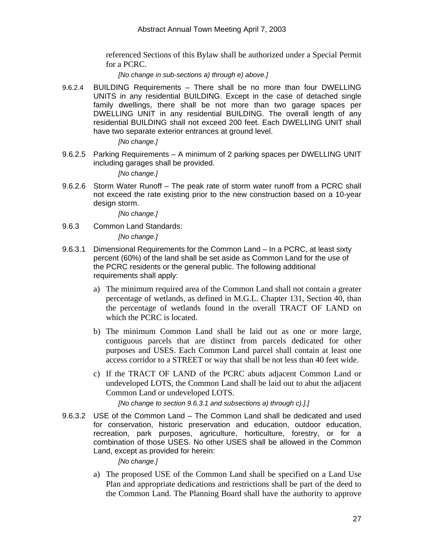referenced Sections of this Bylaw shall be authorized under a Special Permit for a PCRC.

*[No change in sub-sections a) through e) above.]* 

9.6.2.4 BUILDING Requirements – There shall be no more than four DWELLING UNITS in any residential BUILDING. Except in the case of detached single family dwellings, there shall be not more than two garage spaces per DWELLING UNIT in any residential BUILDING. The overall length of any residential BUILDING shall not exceed 200 feet. Each DWELLING UNIT shall have two separate exterior entrances at ground level.

*[No change.]*

9.6.2.5 Parking Requirements – A minimum of 2 parking spaces per DWELLING UNIT including garages shall be provided.

*[No change.]*

9.6.2.6 Storm Water Runoff – The peak rate of storm water runoff from a PCRC shall not exceed the rate existing prior to the new construction based on a 10-year design storm.

*[No change.]*

9.6.3 Common Land Standards:

*[No change.]*

- 9.6.3.1 Dimensional Requirements for the Common Land In a PCRC, at least sixty percent (60%) of the land shall be set aside as Common Land for the use of the PCRC residents or the general public. The following additional requirements shall apply:
	- a) The minimum required area of the Common Land shall not contain a greater percentage of wetlands, as defined in M.G.L. Chapter 131, Section 40, than the percentage of wetlands found in the overall TRACT OF LAND on which the PCRC is located.
	- b) The minimum Common Land shall be laid out as one or more large, contiguous parcels that are distinct from parcels dedicated for other purposes and USES. Each Common Land parcel shall contain at least one access corridor to a STREET or way that shall be not less than 40 feet wide.
	- c) If the TRACT OF LAND of the PCRC abuts adjacent Common Land or undeveloped LOTS, the Common Land shall be laid out to abut the adjacent Common Land or undeveloped LOTS.

*[No change to section 9.6.3.1 and subsections a) through c).].]*

9.6.3.2 USE of the Common Land – The Common Land shall be dedicated and used for conservation, historic preservation and education, outdoor education, recreation, park purposes, agriculture, horticulture, forestry, or for a combination of those USES. No other USES shall be allowed in the Common Land, except as provided for herein:

*[No change.]*

a) The proposed USE of the Common Land shall be specified on a Land Use Plan and appropriate dedications and restrictions shall be part of the deed to the Common Land. The Planning Board shall have the authority to approve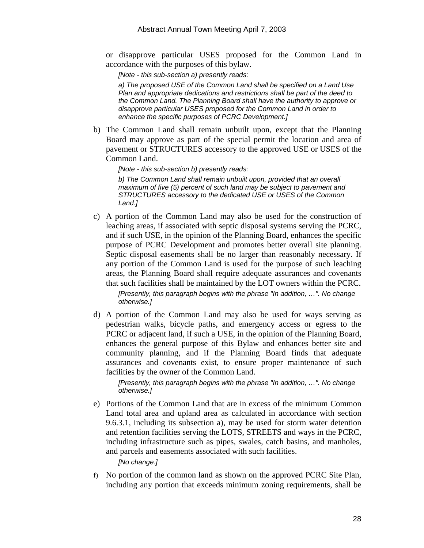or disapprove particular USES proposed for the Common Land in accordance with the purposes of this bylaw.

*[Note - this sub-section a) presently reads:* 

*a) The proposed USE of the Common Land shall be specified on a Land Use Plan and appropriate dedications and restrictions shall be part of the deed to the Common Land. The Planning Board shall have the authority to approve or disapprove particular USES proposed for the Common Land in order to enhance the specific purposes of PCRC Development.]* 

b) The Common Land shall remain unbuilt upon, except that the Planning Board may approve as part of the special permit the location and area of pavement or STRUCTURES accessory to the approved USE or USES of the Common Land.

*[Note - this sub-section b) presently reads:* 

*b) The Common Land shall remain unbuilt upon, provided that an overall maximum of five (5) percent of such land may be subject to pavement and STRUCTURES accessory to the dedicated USE or USES of the Common Land.]* 

- c) A portion of the Common Land may also be used for the construction of leaching areas, if associated with septic disposal systems serving the PCRC, and if such USE, in the opinion of the Planning Board, enhances the specific purpose of PCRC Development and promotes better overall site planning. Septic disposal easements shall be no larger than reasonably necessary. If any portion of the Common Land is used for the purpose of such leaching areas, the Planning Board shall require adequate assurances and covenants that such facilities shall be maintained by the LOT owners within the PCRC. *[Presently, this paragraph begins with the phrase "In addition, …". No change otherwise.]*
- d) A portion of the Common Land may also be used for ways serving as pedestrian walks, bicycle paths, and emergency access or egress to the PCRC or adjacent land, if such a USE, in the opinion of the Planning Board, enhances the general purpose of this Bylaw and enhances better site and community planning, and if the Planning Board finds that adequate assurances and covenants exist, to ensure proper maintenance of such facilities by the owner of the Common Land.

*[Presently, this paragraph begins with the phrase "In addition, …". No change otherwise.]* 

e) Portions of the Common Land that are in excess of the minimum Common Land total area and upland area as calculated in accordance with section 9.6.3.1, including its subsection a), may be used for storm water detention and retention facilities serving the LOTS, STREETS and ways in the PCRC, including infrastructure such as pipes, swales, catch basins, and manholes, and parcels and easements associated with such facilities.

*[No change.]* 

f) No portion of the common land as shown on the approved PCRC Site Plan, including any portion that exceeds minimum zoning requirements, shall be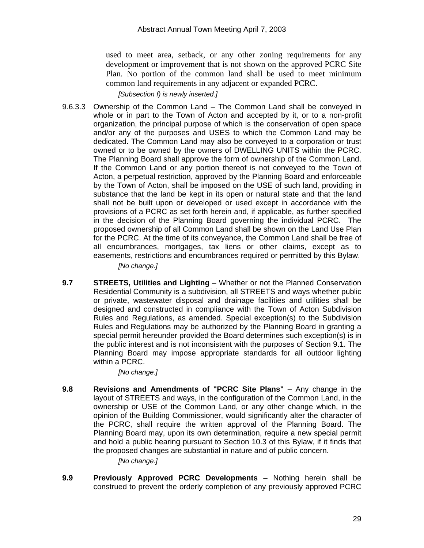used to meet area, setback, or any other zoning requirements for any development or improvement that is not shown on the approved PCRC Site Plan. No portion of the common land shall be used to meet minimum common land requirements in any adjacent or expanded PCRC.

*[Subsection f) is newly inserted.]* 

9.6.3.3 Ownership of the Common Land – The Common Land shall be conveyed in whole or in part to the Town of Acton and accepted by it, or to a non-profit organization, the principal purpose of which is the conservation of open space and/or any of the purposes and USES to which the Common Land may be dedicated. The Common Land may also be conveyed to a corporation or trust owned or to be owned by the owners of DWELLING UNITS within the PCRC. The Planning Board shall approve the form of ownership of the Common Land. If the Common Land or any portion thereof is not conveyed to the Town of Acton, a perpetual restriction, approved by the Planning Board and enforceable by the Town of Acton, shall be imposed on the USE of such land, providing in substance that the land be kept in its open or natural state and that the land shall not be built upon or developed or used except in accordance with the provisions of a PCRC as set forth herein and, if applicable, as further specified in the decision of the Planning Board governing the individual PCRC. The proposed ownership of all Common Land shall be shown on the Land Use Plan for the PCRC. At the time of its conveyance, the Common Land shall be free of all encumbrances, mortgages, tax liens or other claims, except as to easements, restrictions and encumbrances required or permitted by this Bylaw.

*[No change.]* 

**9.7 STREETS, Utilities and Lighting** – Whether or not the Planned Conservation Residential Community is a subdivision, all STREETS and ways whether public or private, wastewater disposal and drainage facilities and utilities shall be designed and constructed in compliance with the Town of Acton Subdivision Rules and Regulations, as amended. Special exception(s) to the Subdivision Rules and Regulations may be authorized by the Planning Board in granting a special permit hereunder provided the Board determines such exception(s) is in the public interest and is not inconsistent with the purposes of Section 9.1. The Planning Board may impose appropriate standards for all outdoor lighting within a PCRC.

*[No change.]* 

**9.8 Revisions and Amendments of "PCRC Site Plans"** – Any change in the layout of STREETS and ways, in the configuration of the Common Land, in the ownership or USE of the Common Land, or any other change which, in the opinion of the Building Commissioner, would significantly alter the character of the PCRC, shall require the written approval of the Planning Board. The Planning Board may, upon its own determination, require a new special permit and hold a public hearing pursuant to Section 10.3 of this Bylaw, if it finds that the proposed changes are substantial in nature and of public concern.

*[No change.]* 

**9.9 Previously Approved PCRC Developments** – Nothing herein shall be construed to prevent the orderly completion of any previously approved PCRC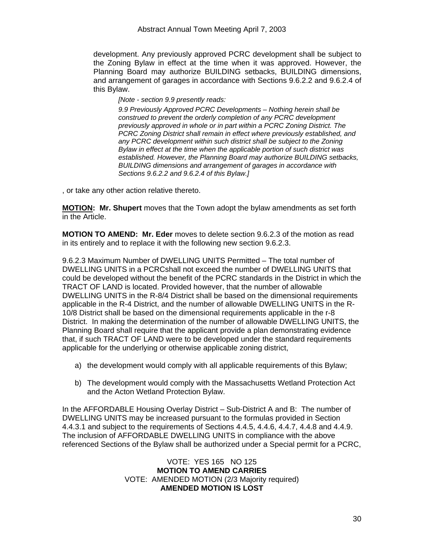development. Any previously approved PCRC development shall be subject to the Zoning Bylaw in effect at the time when it was approved. However, the Planning Board may authorize BUILDING setbacks, BUILDING dimensions, and arrangement of garages in accordance with Sections 9.6.2.2 and 9.6.2.4 of this Bylaw.

*[Note - section 9.9 presently reads:* 

*9.9 Previously Approved PCRC Developments – Nothing herein shall be construed to prevent the orderly completion of any PCRC development previously approved in whole or in part within a PCRC Zoning District. The PCRC Zoning District shall remain in effect where previously established, and any PCRC development within such district shall be subject to the Zoning Bylaw in effect at the time when the applicable portion of such district was established. However, the Planning Board may authorize BUILDING setbacks, BUILDING dimensions and arrangement of garages in accordance with Sections 9.6.2.2 and 9.6.2.4 of this Bylaw.]* 

, or take any other action relative thereto.

**MOTION: Mr. Shupert** moves that the Town adopt the bylaw amendments as set forth in the Article.

**MOTION TO AMEND: Mr. Eder** moves to delete section 9.6.2.3 of the motion as read in its entirely and to replace it with the following new section 9.6.2.3.

9.6.2.3 Maximum Number of DWELLING UNITS Permitted – The total number of DWELLING UNITS in a PCRCshall not exceed the number of DWELLING UNITS that could be developed without the benefit of the PCRC standards in the District in which the TRACT OF LAND is located. Provided however, that the number of allowable DWELLING UNITS in the R-8/4 District shall be based on the dimensional requirements applicable in the R-4 District, and the number of allowable DWELLING UNITS in the R-10/8 District shall be based on the dimensional requirements applicable in the r-8 District. In making the determination of the number of allowable DWELLING UNITS, the Planning Board shall require that the applicant provide a plan demonstrating evidence that, if such TRACT OF LAND were to be developed under the standard requirements applicable for the underlying or otherwise applicable zoning district,

- a) the development would comply with all applicable requirements of this Bylaw;
- b) The development would comply with the Massachusetts Wetland Protection Act and the Acton Wetland Protection Bylaw.

In the AFFORDABLE Housing Overlay District – Sub-District A and B: The number of DWELLING UNITS may be increased pursuant to the formulas provided in Section 4.4.3.1 and subject to the requirements of Sections 4.4.5, 4.4.6, 4.4.7, 4.4.8 and 4.4.9. The inclusion of AFFORDABLE DWELLING UNITS in compliance with the above referenced Sections of the Bylaw shall be authorized under a Special permit for a PCRC,

> VOTE: YES 165 NO 125 **MOTION TO AMEND CARRIES**  VOTE: AMENDED MOTION (2/3 Majority required) **AMENDED MOTION IS LOST**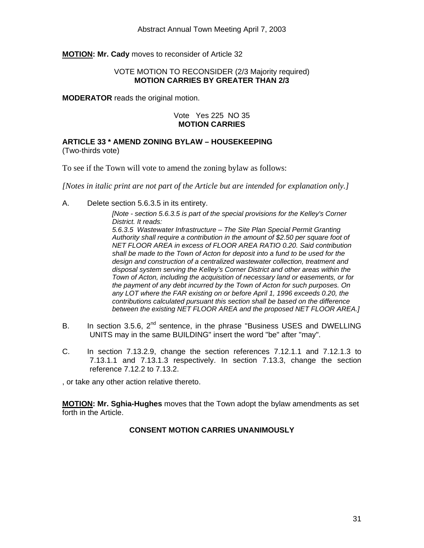#### <span id="page-30-0"></span>**MOTION: Mr. Cady** moves to reconsider of Article 32

#### VOTE MOTION TO RECONSIDER (2/3 Majority required) **MOTION CARRIES BY GREATER THAN 2/3**

**MODERATOR** reads the original motion.

#### Vote Yes 225 NO 35 **MOTION CARRIES**

**ARTICLE 33 \* AMEND ZONING BYLAW – HOUSEKEEPING** 

(Two-thirds vote)

To see if the Town will vote to amend the zoning bylaw as follows:

*[Notes in italic print are not part of the Article but are intended for explanation only.]* 

A. Delete section 5.6.3.5 in its entirety.

*[Note - section 5.6.3.5 is part of the special provisions for the Kelley's Corner District. It reads: 5.6.3.5 Wastewater Infrastructure – The Site Plan Special Permit Granting Authority shall require a contribution in the amount of \$2.50 per square foot of NET FLOOR AREA in excess of FLOOR AREA RATIO 0.20. Said contribution shall be made to the Town of Acton for deposit into a fund to be used for the design and construction of a centralized wastewater collection, treatment and disposal system serving the Kelley's Corner District and other areas within the Town of Acton, including the acquisition of necessary land or easements, or for the payment of any debt incurred by the Town of Acton for such purposes. On any LOT where the FAR existing on or before April 1, 1996 exceeds 0.20, the contributions calculated pursuant this section shall be based on the difference between the existing NET FLOOR AREA and the proposed NET FLOOR AREA.]* 

- B. In section 3.5.6,  $2^{nd}$  sentence, in the phrase "Business USES and DWELLING UNITS may in the same BUILDING" insert the word "be" after "may".
- C. In section 7.13.2.9, change the section references 7.12.1.1 and 7.12.1.3 to 7.13.1.1 and 7.13.1.3 respectively. In section 7.13.3, change the section reference 7.12.2 to 7.13.2.

, or take any other action relative thereto.

**MOTION: Mr. Sghia-Hughes** moves that the Town adopt the bylaw amendments as set forth in the Article.

## **CONSENT MOTION CARRIES UNANIMOUSLY**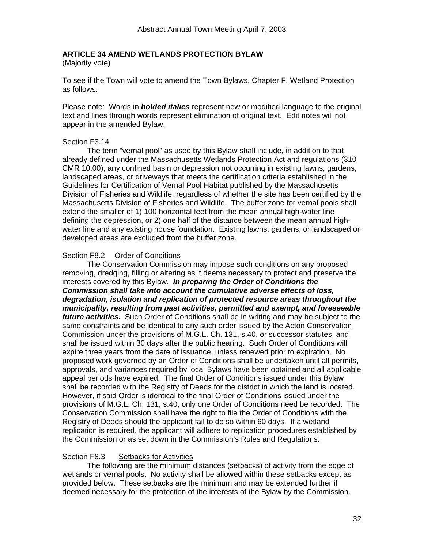## <span id="page-31-0"></span>**ARTICLE 34 AMEND WETLANDS PROTECTION BYLAW**

(Majority vote)

To see if the Town will vote to amend the Town Bylaws, Chapter F, Wetland Protection as follows:

Please note: Words in *bolded italics* represent new or modified language to the original text and lines through words represent elimination of original text. Edit notes will not appear in the amended Bylaw.

#### Section F3.14

The term "vernal pool" as used by this Bylaw shall include, in addition to that already defined under the Massachusetts Wetlands Protection Act and regulations (310 CMR 10.00), any confined basin or depression not occurring in existing lawns, gardens, landscaped areas, or driveways that meets the certification criteria established in the Guidelines for Certification of Vernal Pool Habitat published by the Massachusetts Division of Fisheries and Wildlife, regardless of whether the site has been certified by the Massachusetts Division of Fisheries and Wildlife. The buffer zone for vernal pools shall extend the smaller of 1) 100 horizontal feet from the mean annual high-water line defining the depression, or 2) one half of the distance between the mean annual highwater line and any existing house foundation. Existing lawns, gardens, or landscaped or developed areas are excluded from the buffer zone.

#### Section F8.2 Order of Conditions

The Conservation Commission may impose such conditions on any proposed removing, dredging, filling or altering as it deems necessary to protect and preserve the interests covered by this Bylaw. *In preparing the Order of Conditions the Commission shall take into account the cumulative adverse effects of loss, degradation, isolation and replication of protected resource areas throughout the municipality, resulting from past activities, permitted and exempt, and foreseeable future activities.* Such Order of Conditions shall be in writing and may be subject to the same constraints and be identical to any such order issued by the Acton Conservation Commission under the provisions of M.G.L. Ch. 131, s.40, or successor statutes, and shall be issued within 30 days after the public hearing. Such Order of Conditions will expire three years from the date of issuance, unless renewed prior to expiration. No proposed work governed by an Order of Conditions shall be undertaken until all permits, approvals, and variances required by local Bylaws have been obtained and all applicable appeal periods have expired. The final Order of Conditions issued under this Bylaw shall be recorded with the Registry of Deeds for the district in which the land is located. However, if said Order is identical to the final Order of Conditions issued under the provisions of M.G.L. Ch. 131, s.40, only one Order of Conditions need be recorded. The Conservation Commission shall have the right to file the Order of Conditions with the Registry of Deeds should the applicant fail to do so within 60 days. If a wetland replication is required, the applicant will adhere to replication procedures established by the Commission or as set down in the Commission's Rules and Regulations.

#### Section F8.3 Setbacks for Activities

The following are the minimum distances (setbacks) of activity from the edge of wetlands or vernal pools. No activity shall be allowed within these setbacks except as provided below. These setbacks are the minimum and may be extended further if deemed necessary for the protection of the interests of the Bylaw by the Commission.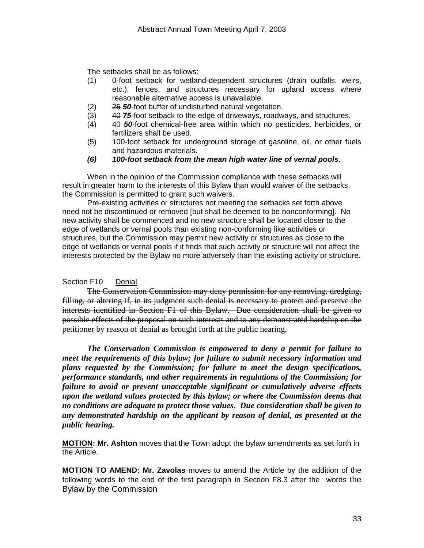The setbacks shall be as follows:

- (1) 0-foot setback for wetland-dependent structures (drain outfalls, weirs, etc.), fences, and structures necessary for upland access where reasonable alternative access is unavailable.
- (2) 25 *50*-foot buffer of undisturbed natural vegetation.
- (3) 40 *75*-foot setback to the edge of driveways, roadways, and structures.
- (4) 40 *50*-foot chemical-free area within which no pesticides, herbicides, or fertilizers shall be used.
- (5) 100-foot setback for underground storage of gasoline, oil, or other fuels and hazardous materials.
- *(6) 100-foot setback from the mean high water line of vernal pools.*

When in the opinion of the Commission compliance with these setbacks will result in greater harm to the interests of this Bylaw than would waiver of the setbacks, the Commission is permitted to grant such waivers.

Pre-existing activities or structures not meeting the setbacks set forth above need not be discontinued or removed [but shall be deemed to be nonconforming]. No new activity shall be commenced and no new structure shall be located closer to the edge of wetlands or vernal pools than existing non-conforming like activities or structures, but the Commission may permit new activity or structures as close to the edge of wetlands or vernal pools if it finds that such activity or structure will not affect the interests protected by the Bylaw no more adversely than the existing activity or structure.

#### Section F10 Denial

The Conservation Commission may deny permission for any removing, dredging, filling, or altering if, in its judgment such denial is necessary to protect and preserve the interests identified in Section F1 of this Bylaw. Due consideration shall be given to possible effects of the proposal on such interests and to any demonstrated hardship on the petitioner by reason of denial as brought forth at the public hearing.

*The Conservation Commission is empowered to deny a permit for failure to meet the requirements of this bylaw; for failure to submit necessary information and plans requested by the Commission; for failure to meet the design specifications, performance standards, and other requirements in regulations of the Commission; for failure to avoid or prevent unacceptable significant or cumulatively adverse effects upon the wetland values protected by this bylaw; or where the Commission deems that no conditions are adequate to protect those values. Due consideration shall be given to any demonstrated hardship on the applicant by reason of denial, as presented at the public hearing.* 

**MOTION: Mr. Ashton** moves that the Town adopt the bylaw amendments as set forth in the Article.

**MOTION TO AMEND: Mr. Zavolas** moves to amend the Article by the addition of the following words to the end of the first paragraph in Section F8.3 after the words the Bylaw by the Commission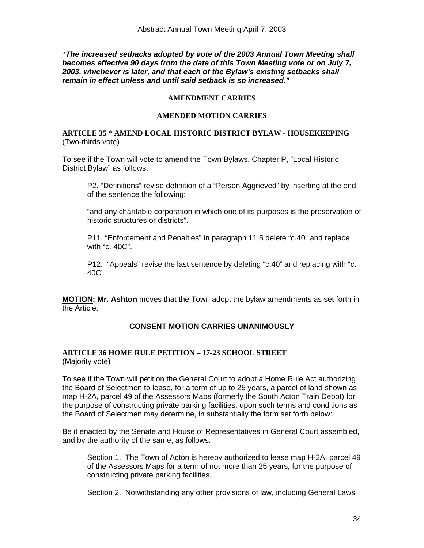<span id="page-33-0"></span>"*The increased setbacks adopted by vote of the 2003 Annual Town Meeting shall becomes effective 90 days from the date of this Town Meeting vote or on July 7, 2003, whichever is later, and that each of the Bylaw's existing setbacks shall remain in effect unless and until said setback is so increased."* 

#### **AMENDMENT CARRIES**

#### **AMENDED MOTION CARRIES**

#### **ARTICLE 35 \* AMEND LOCAL HISTORIC DISTRICT BYLAW - HOUSEKEEPING**  (Two-thirds vote)

To see if the Town will vote to amend the Town Bylaws, Chapter P, "Local Historic District Bylaw" as follows:

P2. "Definitions" revise definition of a "Person Aggrieved" by inserting at the end of the sentence the following:

"and any charitable corporation in which one of its purposes is the preservation of historic structures or districts".

P11. "Enforcement and Penalties" in paragraph 11.5 delete "c.40" and replace with "c. 40C".

P12. "Appeals" revise the last sentence by deleting "c.40" and replacing with "c. 40C"

**MOTION: Mr. Ashton** moves that the Town adopt the bylaw amendments as set forth in the Article.

#### **CONSENT MOTION CARRIES UNANIMOUSLY**

#### **ARTICLE 36 HOME RULE PETITION – 17-23 SCHOOL STREET**  (Majority vote)

To see if the Town will petition the General Court to adopt a Home Rule Act authorizing the Board of Selectmen to lease, for a term of up to 25 years, a parcel of land shown as map H-2A, parcel 49 of the Assessors Maps (formerly the South Acton Train Depot) for the purpose of constructing private parking facilities, upon such terms and conditions as the Board of Selectmen may determine, in substantially the form set forth below:

Be it enacted by the Senate and House of Representatives in General Court assembled, and by the authority of the same, as follows:

Section 1. The Town of Acton is hereby authorized to lease map H-2A, parcel 49 of the Assessors Maps for a term of not more than 25 years, for the purpose of constructing private parking facilities.

Section 2. Notwithstanding any other provisions of law, including General Laws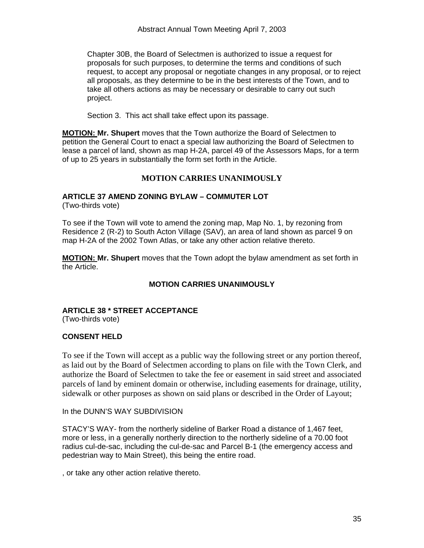<span id="page-34-0"></span>Chapter 30B, the Board of Selectmen is authorized to issue a request for proposals for such purposes, to determine the terms and conditions of such request, to accept any proposal or negotiate changes in any proposal, or to reject all proposals, as they determine to be in the best interests of the Town, and to take all others actions as may be necessary or desirable to carry out such project.

Section 3. This act shall take effect upon its passage.

**MOTION: Mr. Shupert** moves that the Town authorize the Board of Selectmen to petition the General Court to enact a special law authorizing the Board of Selectmen to lease a parcel of land, shown as map H-2A, parcel 49 of the Assessors Maps, for a term of up to 25 years in substantially the form set forth in the Article.

## **MOTION CARRIES UNANIMOUSLY**

## **ARTICLE 37 AMEND ZONING BYLAW – COMMUTER LOT**

(Two-thirds vote)

To see if the Town will vote to amend the zoning map, Map No. 1, by rezoning from Residence 2 (R-2) to South Acton Village (SAV), an area of land shown as parcel 9 on map H-2A of the 2002 Town Atlas, or take any other action relative thereto.

**MOTION: Mr. Shupert** moves that the Town adopt the bylaw amendment as set forth in the Article.

#### **MOTION CARRIES UNANIMOUSLY**

# **ARTICLE 38 \* STREET ACCEPTANCE**

(Two-thirds vote)

## **CONSENT HELD**

To see if the Town will accept as a public way the following street or any portion thereof, as laid out by the Board of Selectmen according to plans on file with the Town Clerk, and authorize the Board of Selectmen to take the fee or easement in said street and associated parcels of land by eminent domain or otherwise, including easements for drainage, utility, sidewalk or other purposes as shown on said plans or described in the Order of Layout;

In the DUNN'S WAY SUBDIVISION

STACY'S WAY- from the northerly sideline of Barker Road a distance of 1,467 feet, more or less, in a generally northerly direction to the northerly sideline of a 70.00 foot radius cul-de-sac, including the cul-de-sac and Parcel B-1 (the emergency access and pedestrian way to Main Street), this being the entire road.

, or take any other action relative thereto.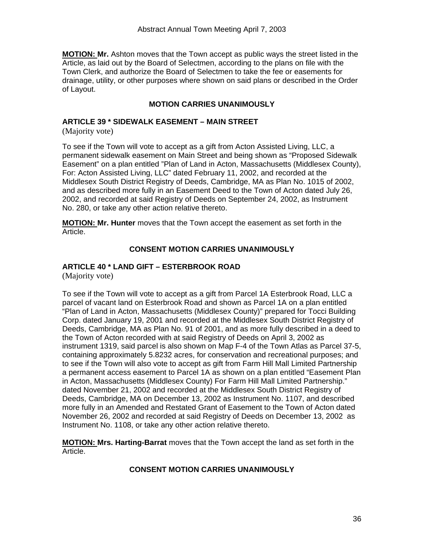<span id="page-35-0"></span>**MOTION: Mr.** Ashton moves that the Town accept as public ways the street listed in the Article, as laid out by the Board of Selectmen, according to the plans on file with the Town Clerk, and authorize the Board of Selectmen to take the fee or easements for drainage, utility, or other purposes where shown on said plans or described in the Order of Layout.

## **MOTION CARRIES UNANIMOUSLY**

## **ARTICLE 39 \* SIDEWALK EASEMENT – MAIN STREET**

(Majority vote)

To see if the Town will vote to accept as a gift from Acton Assisted Living, LLC, a permanent sidewalk easement on Main Street and being shown as "Proposed Sidewalk Easement" on a plan entitled "Plan of Land in Acton, Massachusetts (Middlesex County), For: Acton Assisted Living, LLC" dated February 11, 2002, and recorded at the Middlesex South District Registry of Deeds, Cambridge, MA as Plan No. 1015 of 2002, and as described more fully in an Easement Deed to the Town of Acton dated July 26, 2002, and recorded at said Registry of Deeds on September 24, 2002, as Instrument No. 280, or take any other action relative thereto.

**MOTION: Mr. Hunter** moves that the Town accept the easement as set forth in the Article.

## **CONSENT MOTION CARRIES UNANIMOUSLY**

# **ARTICLE 40 \* LAND GIFT – ESTERBROOK ROAD**

(Majority vote)

To see if the Town will vote to accept as a gift from Parcel 1A Esterbrook Road, LLC a parcel of vacant land on Esterbrook Road and shown as Parcel 1A on a plan entitled "Plan of Land in Acton, Massachusetts (Middlesex County)" prepared for Tocci Building Corp. dated January 19, 2001 and recorded at the Middlesex South District Registry of Deeds, Cambridge, MA as Plan No. 91 of 2001, and as more fully described in a deed to the Town of Acton recorded with at said Registry of Deeds on April 3, 2002 as instrument 1319, said parcel is also shown on Map F-4 of the Town Atlas as Parcel 37-5, containing approximately 5.8232 acres, for conservation and recreational purposes; and to see if the Town will also vote to accept as gift from Farm Hill Mall Limited Partnership a permanent access easement to Parcel 1A as shown on a plan entitled "Easement Plan in Acton, Massachusetts (Middlesex County) For Farm Hill Mall Limited Partnership." dated November 21, 2002 and recorded at the Middlesex South District Registry of Deeds, Cambridge, MA on December 13, 2002 as Instrument No. 1107, and described more fully in an Amended and Restated Grant of Easement to the Town of Acton dated November 26, 2002 and recorded at said Registry of Deeds on December 13, 2002 as Instrument No. 1108, or take any other action relative thereto.

**MOTION: Mrs. Harting-Barrat** moves that the Town accept the land as set forth in the Article.

### **CONSENT MOTION CARRIES UNANIMOUSLY**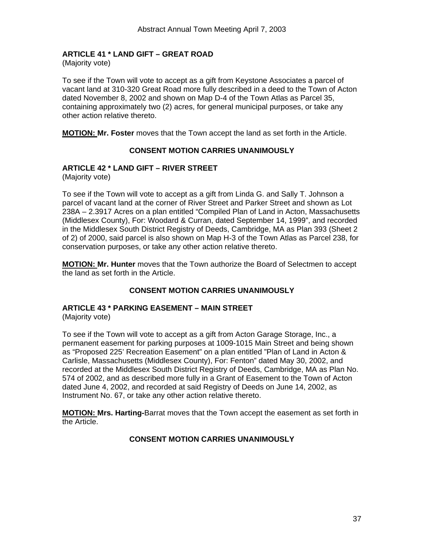## <span id="page-36-0"></span>**ARTICLE 41 \* LAND GIFT – GREAT ROAD**

(Majority vote)

To see if the Town will vote to accept as a gift from Keystone Associates a parcel of vacant land at 310-320 Great Road more fully described in a deed to the Town of Acton dated November 8, 2002 and shown on Map D-4 of the Town Atlas as Parcel 35, containing approximately two (2) acres, for general municipal purposes, or take any other action relative thereto.

**MOTION: Mr. Foster** moves that the Town accept the land as set forth in the Article.

## **CONSENT MOTION CARRIES UNANIMOUSLY**

## **ARTICLE 42 \* LAND GIFT – RIVER STREET**

(Majority vote)

To see if the Town will vote to accept as a gift from Linda G. and Sally T. Johnson a parcel of vacant land at the corner of River Street and Parker Street and shown as Lot 238A – 2.3917 Acres on a plan entitled "Compiled Plan of Land in Acton, Massachusetts (Middlesex County), For: Woodard & Curran, dated September 14, 1999", and recorded in the Middlesex South District Registry of Deeds, Cambridge, MA as Plan 393 (Sheet 2 of 2) of 2000, said parcel is also shown on Map H-3 of the Town Atlas as Parcel 238, for conservation purposes, or take any other action relative thereto.

**MOTION: Mr. Hunter** moves that the Town authorize the Board of Selectmen to accept the land as set forth in the Article.

## **CONSENT MOTION CARRIES UNANIMOUSLY**

# **ARTICLE 43 \* PARKING EASEMENT – MAIN STREET**

(Majority vote)

To see if the Town will vote to accept as a gift from Acton Garage Storage, Inc., a permanent easement for parking purposes at 1009-1015 Main Street and being shown as "Proposed 225' Recreation Easement" on a plan entitled "Plan of Land in Acton & Carlisle, Massachusetts (Middlesex County), For: Fenton" dated May 30, 2002, and recorded at the Middlesex South District Registry of Deeds, Cambridge, MA as Plan No. 574 of 2002, and as described more fully in a Grant of Easement to the Town of Acton dated June 4, 2002, and recorded at said Registry of Deeds on June 14, 2002, as Instrument No. 67, or take any other action relative thereto.

**MOTION: Mrs. Harting-**Barrat moves that the Town accept the easement as set forth in the Article.

## **CONSENT MOTION CARRIES UNANIMOUSLY**